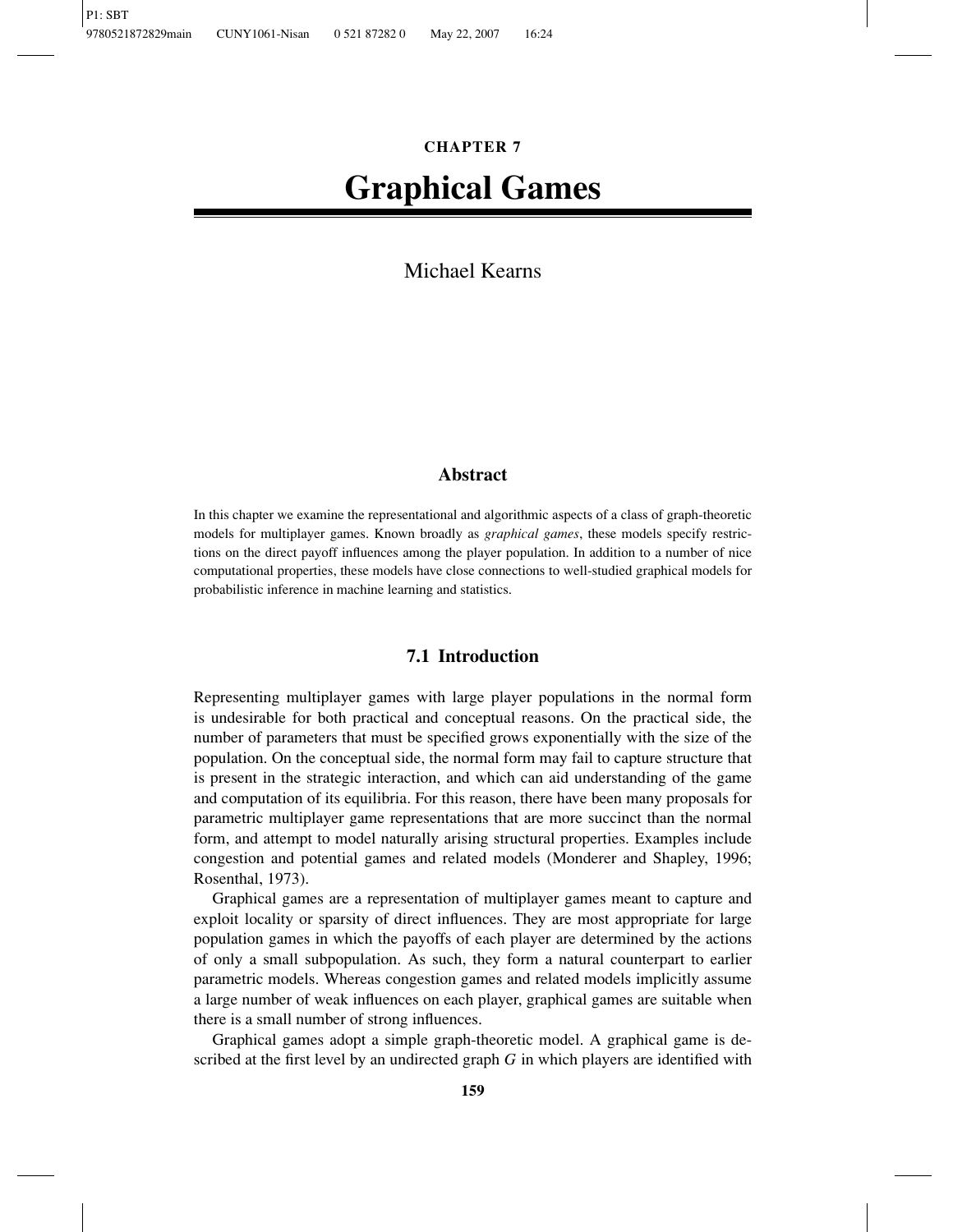# **CHAPTER 7 Graphical Games**

Michael Kearns

# **Abstract**

In this chapter we examine the representational and algorithmic aspects of a class of graph-theoretic models for multiplayer games. Known broadly as *graphical games*, these models specify restrictions on the direct payoff influences among the player population. In addition to a number of nice computational properties, these models have close connections to well-studied graphical models for probabilistic inference in machine learning and statistics.

# **7.1 Introduction**

Representing multiplayer games with large player populations in the normal form is undesirable for both practical and conceptual reasons. On the practical side, the number of parameters that must be specified grows exponentially with the size of the population. On the conceptual side, the normal form may fail to capture structure that is present in the strategic interaction, and which can aid understanding of the game and computation of its equilibria. For this reason, there have been many proposals for parametric multiplayer game representations that are more succinct than the normal form, and attempt to model naturally arising structural properties. Examples include congestion and potential games and related models (Monderer and Shapley, 1996; Rosenthal, 1973).

Graphical games are a representation of multiplayer games meant to capture and exploit locality or sparsity of direct influences. They are most appropriate for large population games in which the payoffs of each player are determined by the actions of only a small subpopulation. As such, they form a natural counterpart to earlier parametric models. Whereas congestion games and related models implicitly assume a large number of weak influences on each player, graphical games are suitable when there is a small number of strong influences.

Graphical games adopt a simple graph-theoretic model. A graphical game is described at the first level by an undirected graph *G* in which players are identified with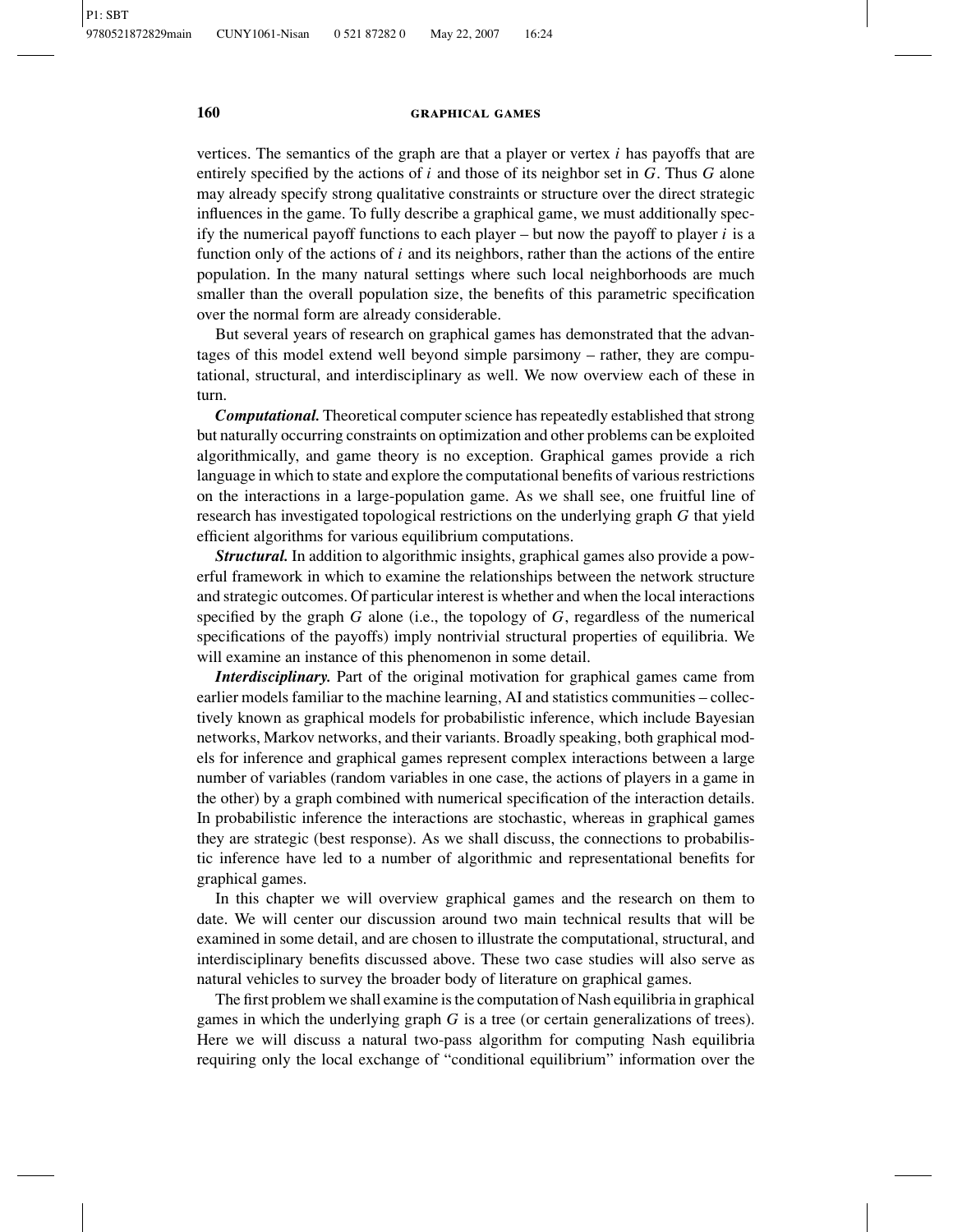vertices. The semantics of the graph are that a player or vertex *i* has payoffs that are entirely specified by the actions of *i* and those of its neighbor set in *G*. Thus *G* alone may already specify strong qualitative constraints or structure over the direct strategic influences in the game. To fully describe a graphical game, we must additionally specify the numerical payoff functions to each player – but now the payoff to player *i* is a function only of the actions of *i* and its neighbors, rather than the actions of the entire population. In the many natural settings where such local neighborhoods are much smaller than the overall population size, the benefits of this parametric specification over the normal form are already considerable.

But several years of research on graphical games has demonstrated that the advantages of this model extend well beyond simple parsimony – rather, they are computational, structural, and interdisciplinary as well. We now overview each of these in turn.

*Computational.* Theoretical computer science has repeatedly established that strong but naturally occurring constraints on optimization and other problems can be exploited algorithmically, and game theory is no exception. Graphical games provide a rich language in which to state and explore the computational benefits of various restrictions on the interactions in a large-population game. As we shall see, one fruitful line of research has investigated topological restrictions on the underlying graph *G* that yield efficient algorithms for various equilibrium computations.

*Structural.* In addition to algorithmic insights, graphical games also provide a powerful framework in which to examine the relationships between the network structure and strategic outcomes. Of particular interest is whether and when the local interactions specified by the graph *G* alone (i.e., the topology of *G*, regardless of the numerical specifications of the payoffs) imply nontrivial structural properties of equilibria. We will examine an instance of this phenomenon in some detail.

*Interdisciplinary.* Part of the original motivation for graphical games came from earlier models familiar to the machine learning, AI and statistics communities – collectively known as graphical models for probabilistic inference, which include Bayesian networks, Markov networks, and their variants. Broadly speaking, both graphical models for inference and graphical games represent complex interactions between a large number of variables (random variables in one case, the actions of players in a game in the other) by a graph combined with numerical specification of the interaction details. In probabilistic inference the interactions are stochastic, whereas in graphical games they are strategic (best response). As we shall discuss, the connections to probabilistic inference have led to a number of algorithmic and representational benefits for graphical games.

In this chapter we will overview graphical games and the research on them to date. We will center our discussion around two main technical results that will be examined in some detail, and are chosen to illustrate the computational, structural, and interdisciplinary benefits discussed above. These two case studies will also serve as natural vehicles to survey the broader body of literature on graphical games.

The first problem we shall examine is the computation of Nash equilibria in graphical games in which the underlying graph *G* is a tree (or certain generalizations of trees). Here we will discuss a natural two-pass algorithm for computing Nash equilibria requiring only the local exchange of "conditional equilibrium" information over the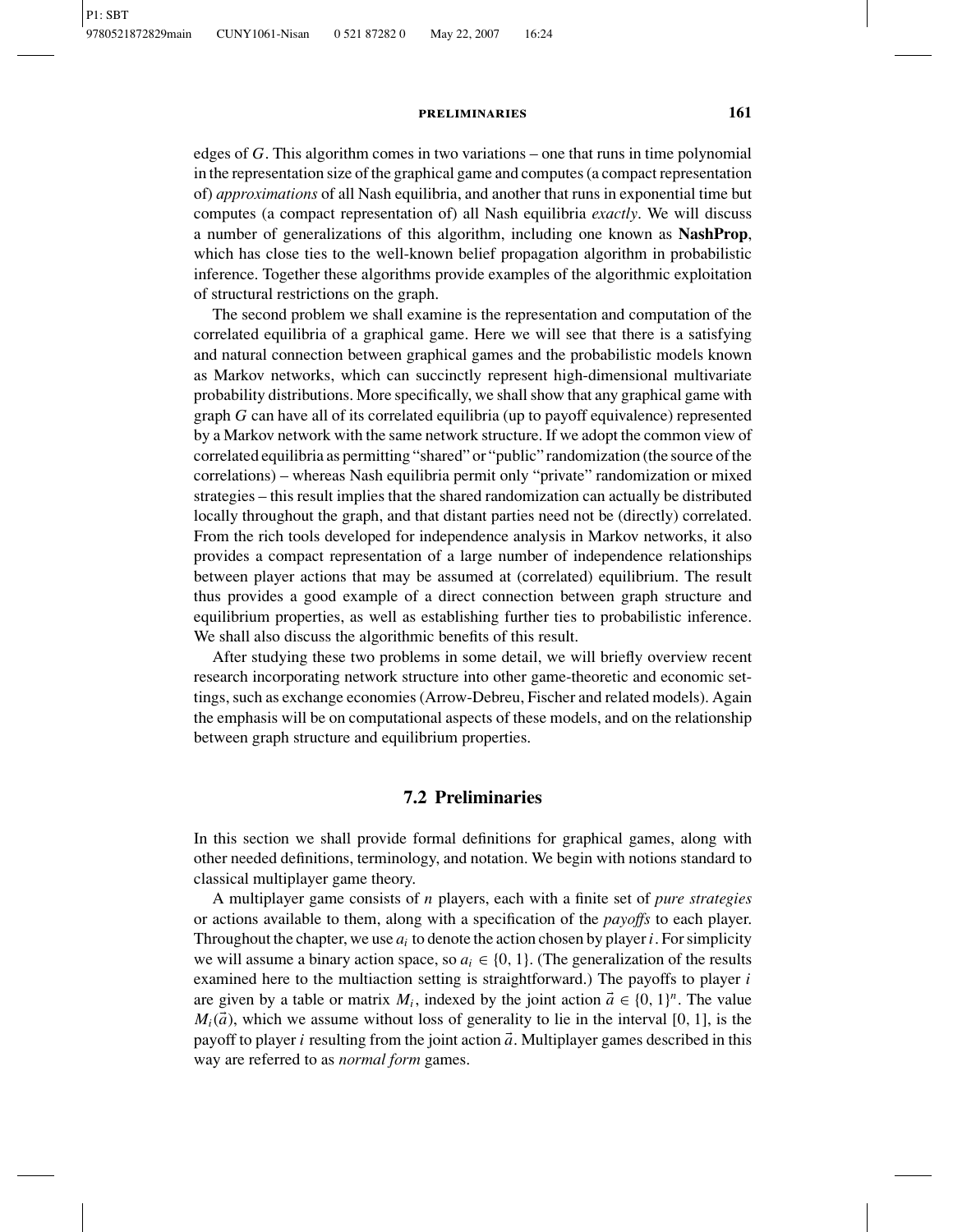# **preliminaries 161**

edges of *G*. This algorithm comes in two variations – one that runs in time polynomial in the representation size of the graphical game and computes (a compact representation of) *approximations* of all Nash equilibria, and another that runs in exponential time but computes (a compact representation of) all Nash equilibria *exactly*. We will discuss a number of generalizations of this algorithm, including one known as **NashProp**, which has close ties to the well-known belief propagation algorithm in probabilistic inference. Together these algorithms provide examples of the algorithmic exploitation of structural restrictions on the graph.

The second problem we shall examine is the representation and computation of the correlated equilibria of a graphical game. Here we will see that there is a satisfying and natural connection between graphical games and the probabilistic models known as Markov networks, which can succinctly represent high-dimensional multivariate probability distributions. More specifically, we shall show that any graphical game with graph *G* can have all of its correlated equilibria (up to payoff equivalence) represented by a Markov network with the same network structure. If we adopt the common view of correlated equilibria as permitting "shared" or "public" randomization (the source of the correlations) – whereas Nash equilibria permit only "private" randomization or mixed strategies – this result implies that the shared randomization can actually be distributed locally throughout the graph, and that distant parties need not be (directly) correlated. From the rich tools developed for independence analysis in Markov networks, it also provides a compact representation of a large number of independence relationships between player actions that may be assumed at (correlated) equilibrium. The result thus provides a good example of a direct connection between graph structure and equilibrium properties, as well as establishing further ties to probabilistic inference. We shall also discuss the algorithmic benefits of this result.

After studying these two problems in some detail, we will briefly overview recent research incorporating network structure into other game-theoretic and economic settings, such as exchange economies (Arrow-Debreu, Fischer and related models). Again the emphasis will be on computational aspects of these models, and on the relationship between graph structure and equilibrium properties.

# **7.2 Preliminaries**

In this section we shall provide formal definitions for graphical games, along with other needed definitions, terminology, and notation. We begin with notions standard to classical multiplayer game theory.

A multiplayer game consists of *n* players, each with a finite set of *pure strategies* or actions available to them, along with a specification of the *payoffs* to each player. Throughout the chapter, we use  $a_i$  to denote the action chosen by player *i*. For simplicity we will assume a binary action space, so  $a_i \in \{0, 1\}$ . (The generalization of the results examined here to the multiaction setting is straightforward.) The payoffs to player *i* are given by a table or matrix  $M_i$ , indexed by the joint action  $\vec{a} \in \{0, 1\}^n$ . The value  $M_i(\vec{a})$ , which we assume without loss of generality to lie in the interval [0, 1], is the payoff to player *i* resulting from the joint action *a*-. Multiplayer games described in this way are referred to as *normal form* games.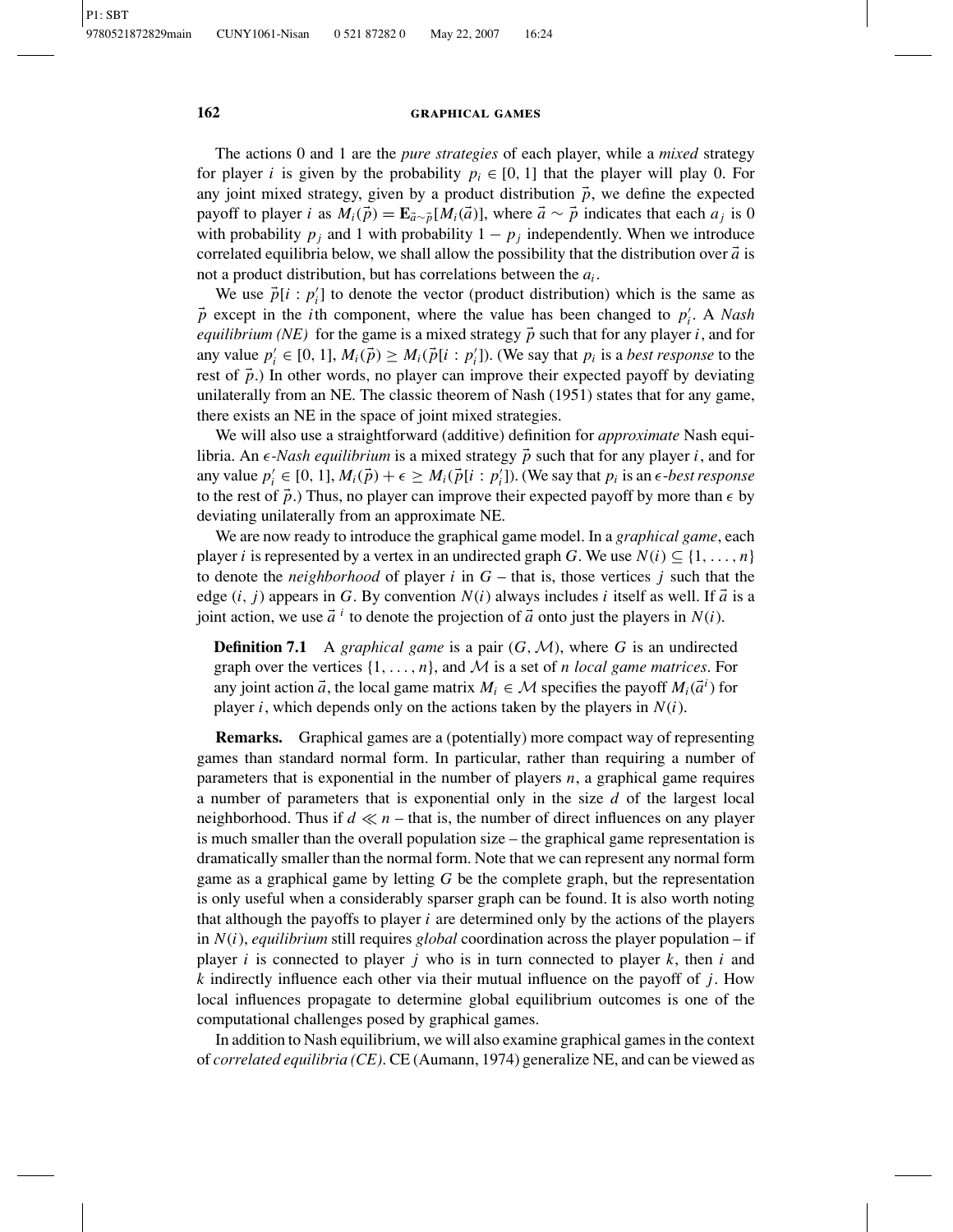The actions 0 and 1 are the *pure strategies* of each player, while a *mixed* strategy for player *i* is given by the probability  $p_i \in [0, 1]$  that the player will play 0. For any joint mixed strategy, given by a product distribution  $\vec{p}$ , we define the expected payoff to player *i* as  $M_i(\vec{p}) = \mathbf{E}_{\vec{a} \sim \vec{p}}[M_i(\vec{a})]$ , where  $\vec{a} \sim \vec{p}$  indicates that each  $a_j$  is 0 with probability  $p_j$  and 1 with probability  $1 - p_j$  independently. When we introduce correlated equilibria below, we shall allow the possibility that the distribution over  $\vec{a}$  is not a product distribution, but has correlations between the *ai*.

We use  $\vec{p}[i : p'_i]$  to denote the vector (product distribution) which is the same as  $\vec{p}$  except in the *i*th component, where the value has been changed to  $p'_i$ . A *Nash equilibrium (NE)* for the game is a mixed strategy  $\vec{p}$  such that for any player *i*, and for any value  $p'_i \in [0, 1], M_i(\vec{p}) \geq M_i(\vec{p}[i : p'_i])$ . (We say that  $p_i$  is a *best response* to the rest of  $\vec{p}$ .) In other words, no player can improve their expected payoff by deviating unilaterally from an NE. The classic theorem of Nash (1951) states that for any game, there exists an NE in the space of joint mixed strategies.

We will also use a straightforward (additive) definition for *approximate* Nash equilibria. An  $\epsilon$ -Nash equilibrium is a mixed strategy  $\vec{p}$  such that for any player *i*, and for any value  $p'_i \in [0, 1]$ ,  $M_i(\vec{p}) + \epsilon \geq M_i(\vec{p}[i : p'_i])$ . (We say that  $p_i$  is an  $\epsilon$ -best response to the rest of  $\vec{p}$ .) Thus, no player can improve their expected payoff by more than  $\epsilon$  by deviating unilaterally from an approximate NE.

We are now ready to introduce the graphical game model. In a *graphical game*, each player *i* is represented by a vertex in an undirected graph *G*. We use  $N(i) \subseteq \{1, ..., n\}$ to denote the *neighborhood* of player *i* in *G* – that is, those vertices *j* such that the edge  $(i, j)$  appears in *G*. By convention  $N(i)$  always includes *i* itself as well. If  $\vec{a}$  is a joint action, we use  $\vec{a}^i$  to denote the projection of  $\vec{a}$  onto just the players in  $N(i)$ .

**Definition 7.1** A *graphical game* is a pair  $(G, M)$ , where *G* is an undirected graph over the vertices {1*,...,n*}, and M is a set of *n local game matrices*. For any joint action  $\vec{a}$ , the local game matrix  $M_i \in \mathcal{M}$  specifies the payoff  $M_i(\vec{a}^i)$  for player *i*, which depends only on the actions taken by the players in *N*(*i*).

**Remarks.** Graphical games are a (potentially) more compact way of representing games than standard normal form. In particular, rather than requiring a number of parameters that is exponential in the number of players *n*, a graphical game requires a number of parameters that is exponential only in the size *d* of the largest local neighborhood. Thus if  $d \ll n$  – that is, the number of direct influences on any player is much smaller than the overall population size – the graphical game representation is dramatically smaller than the normal form. Note that we can represent any normal form game as a graphical game by letting *G* be the complete graph, but the representation is only useful when a considerably sparser graph can be found. It is also worth noting that although the payoffs to player *i* are determined only by the actions of the players in *N*(*i*), *equilibrium* still requires *global* coordination across the player population – if player *i* is connected to player *j* who is in turn connected to player *k*, then *i* and *k* indirectly influence each other via their mutual influence on the payoff of *j* . How local influences propagate to determine global equilibrium outcomes is one of the computational challenges posed by graphical games.

In addition to Nash equilibrium, we will also examine graphical games in the context of *correlated equilibria (CE)*. CE (Aumann, 1974) generalize NE, and can be viewed as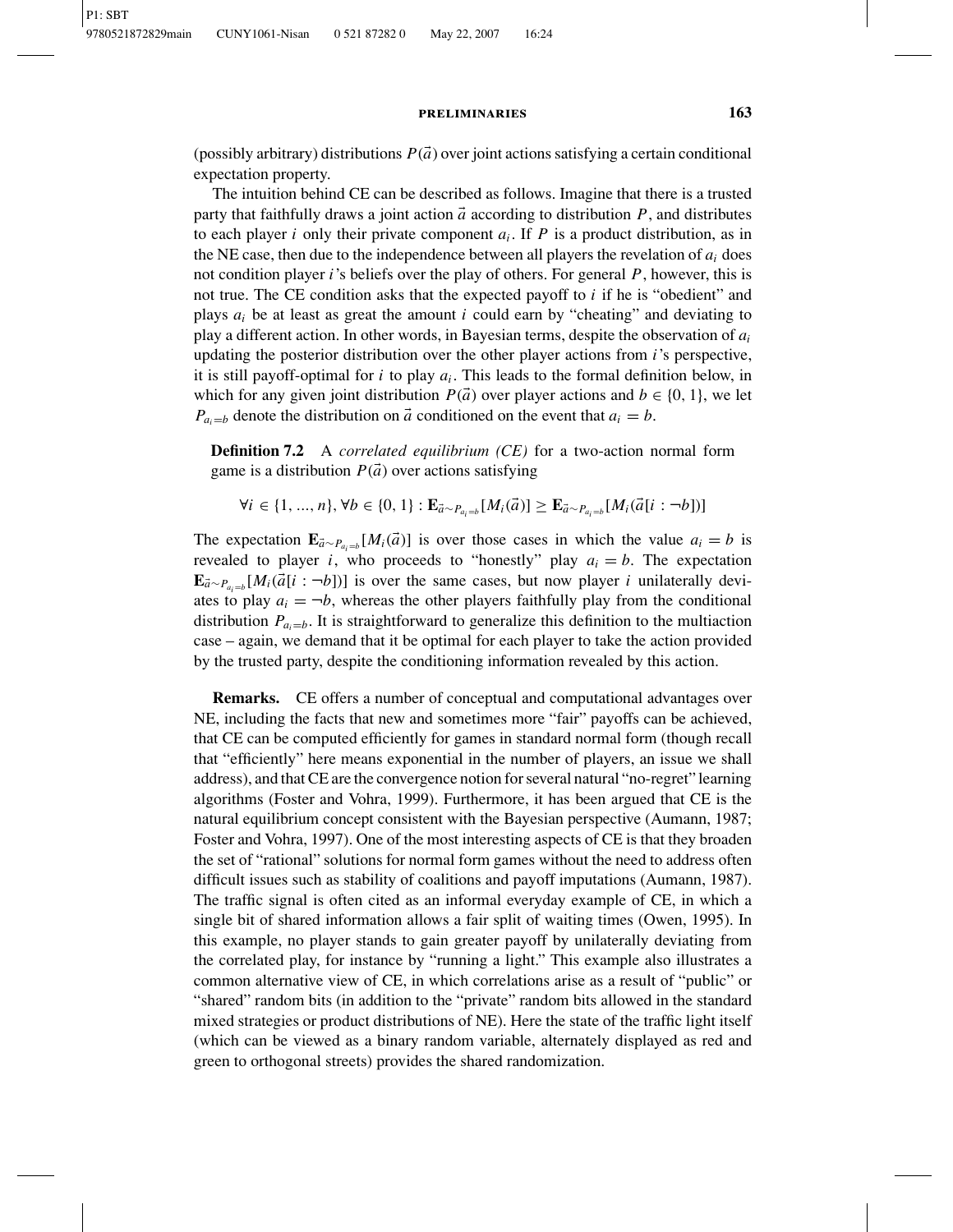### **preliminaries 163**

(possibly arbitrary) distributions  $P(\vec{a})$  over joint actions satisfying a certain conditional expectation property.

The intuition behind CE can be described as follows. Imagine that there is a trusted party that faithfully draws a joint action  $\vec{a}$  according to distribution  $P$ , and distributes to each player *i* only their private component  $a_i$ . If *P* is a product distribution, as in the NE case, then due to the independence between all players the revelation of  $a_i$  does not condition player *i*'s beliefs over the play of others. For general *P*, however, this is not true. The CE condition asks that the expected payoff to *i* if he is "obedient" and plays *ai* be at least as great the amount *i* could earn by "cheating" and deviating to play a different action. In other words, in Bayesian terms, despite the observation of *ai* updating the posterior distribution over the other player actions from *i*'s perspective, it is still payoff-optimal for *i* to play *ai*. This leads to the formal definition below, in which for any given joint distribution  $P(\vec{a})$  over player actions and  $b \in \{0, 1\}$ , we let  $P_{a_i=b}$  denote the distribution on  $\vec{a}$  conditioned on the event that  $a_i = b$ .

**Definition 7.2** A *correlated equilibrium (CE)* for a two-action normal form game is a distribution  $P(\vec{a})$  over actions satisfying

*∀i* ∈ {1, ..., *n*}, *∀b* ∈ {0, 1} :  $\mathbf{E}_{\vec{a} \sim P_{a_i=b}}[M_i(\vec{a})] \geq \mathbf{E}_{\vec{a} \sim P_{a_i=b}}[M_i(\vec{a}[i:-b])]$ 

The expectation  $\mathbf{E}_{\vec{a} \sim P_{a_i=b}}[M_i(\vec{a})]$  is over those cases in which the value  $a_i = b$  is revealed to player *i*, who proceeds to "honestly" play  $a_i = b$ . The expectation  $\mathbf{E}_{\vec{a} \sim P_{a_i=b}}[M_i(\vec{a}[i:-b])]$  is over the same cases, but now player *i* unilaterally deviates to play  $a_i = -b$ , whereas the other players faithfully play from the conditional distribution  $P_{a_i=b}$ . It is straightforward to generalize this definition to the multiaction case – again, we demand that it be optimal for each player to take the action provided by the trusted party, despite the conditioning information revealed by this action.

**Remarks.** CE offers a number of conceptual and computational advantages over NE, including the facts that new and sometimes more "fair" payoffs can be achieved, that CE can be computed efficiently for games in standard normal form (though recall that "efficiently" here means exponential in the number of players, an issue we shall address), and that CE are the convergence notion for several natural "no-regret" learning algorithms (Foster and Vohra, 1999). Furthermore, it has been argued that CE is the natural equilibrium concept consistent with the Bayesian perspective (Aumann, 1987; Foster and Vohra, 1997). One of the most interesting aspects of CE is that they broaden the set of "rational" solutions for normal form games without the need to address often difficult issues such as stability of coalitions and payoff imputations (Aumann, 1987). The traffic signal is often cited as an informal everyday example of CE, in which a single bit of shared information allows a fair split of waiting times (Owen, 1995). In this example, no player stands to gain greater payoff by unilaterally deviating from the correlated play, for instance by "running a light." This example also illustrates a common alternative view of CE, in which correlations arise as a result of "public" or "shared" random bits (in addition to the "private" random bits allowed in the standard mixed strategies or product distributions of NE). Here the state of the traffic light itself (which can be viewed as a binary random variable, alternately displayed as red and green to orthogonal streets) provides the shared randomization.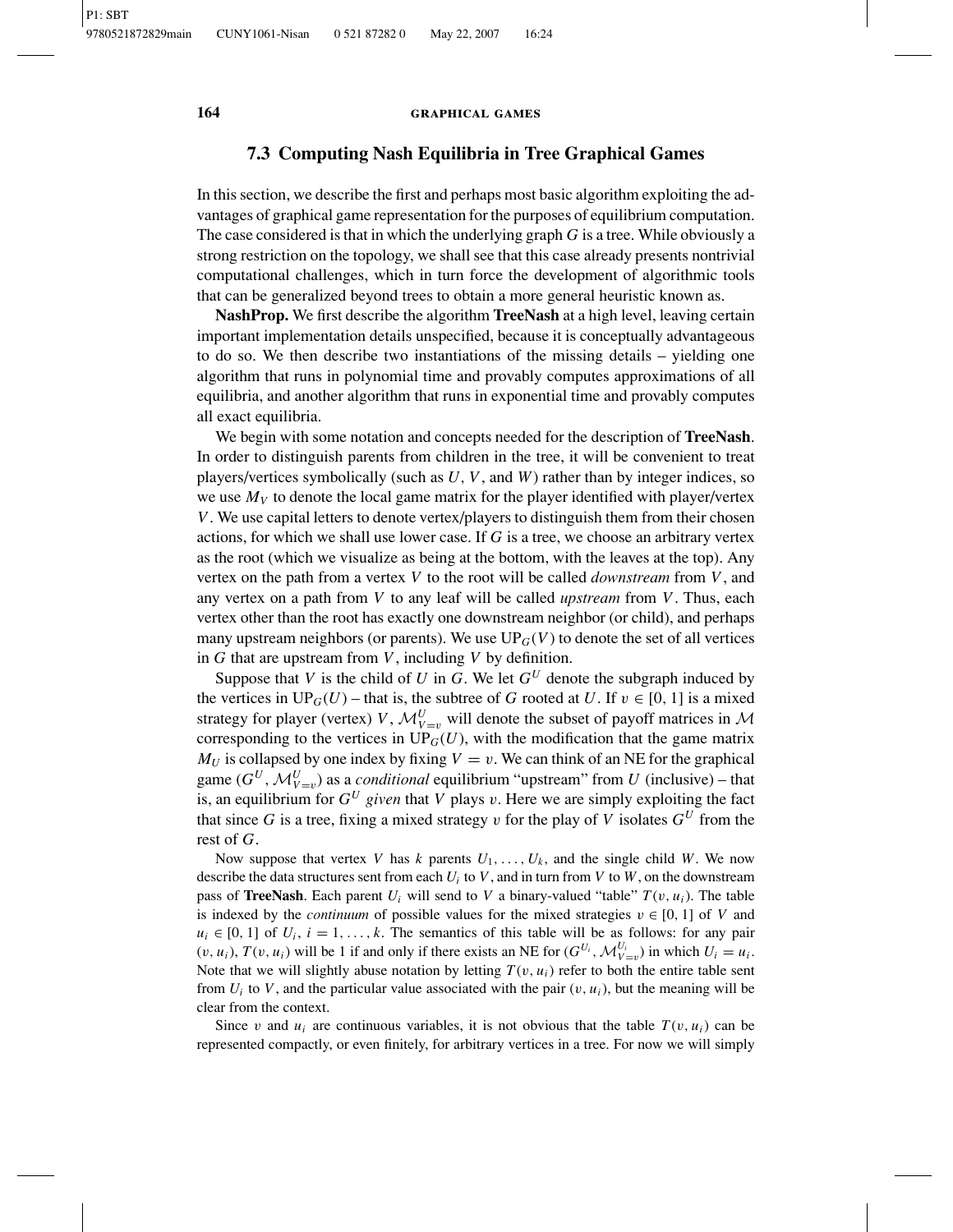# **7.3 Computing Nash Equilibria in Tree Graphical Games**

In this section, we describe the first and perhaps most basic algorithm exploiting the advantages of graphical game representation for the purposes of equilibrium computation. The case considered is that in which the underlying graph *G* is a tree. While obviously a strong restriction on the topology, we shall see that this case already presents nontrivial computational challenges, which in turn force the development of algorithmic tools that can be generalized beyond trees to obtain a more general heuristic known as.

**NashProp.** We first describe the algorithm **TreeNash** at a high level, leaving certain important implementation details unspecified, because it is conceptually advantageous to do so. We then describe two instantiations of the missing details – yielding one algorithm that runs in polynomial time and provably computes approximations of all equilibria, and another algorithm that runs in exponential time and provably computes all exact equilibria.

We begin with some notation and concepts needed for the description of **TreeNash**. In order to distinguish parents from children in the tree, it will be convenient to treat players/vertices symbolically (such as *U,V* , and *W*) rather than by integer indices, so we use  $M_V$  to denote the local game matrix for the player identified with player/vertex *V*. We use capital letters to denote vertex/players to distinguish them from their chosen actions, for which we shall use lower case. If *G* is a tree, we choose an arbitrary vertex as the root (which we visualize as being at the bottom, with the leaves at the top). Any vertex on the path from a vertex *V* to the root will be called *downstream* from *V* , and any vertex on a path from *V* to any leaf will be called *upstream* from *V* . Thus, each vertex other than the root has exactly one downstream neighbor (or child), and perhaps many upstream neighbors (or parents). We use  $UP<sub>G</sub>(V)$  to denote the set of all vertices in *G* that are upstream from *V* , including *V* by definition.

Suppose that *V* is the child of *U* in *G*. We let  $G^U$  denote the subgraph induced by the vertices in  $UP_G(U)$  – that is, the subtree of *G* rooted at *U*. If  $v \in [0, 1]$  is a mixed strategy for player (vertex) *V*,  $\mathcal{M}_{V=v}^U$  will denote the subset of payoff matrices in  $\mathcal M$ corresponding to the vertices in  $UP$ <sup> $G$ </sup> $(U)$ , with the modification that the game matrix  $M_U$  is collapsed by one index by fixing  $V = v$ . We can think of an NE for the graphical game  $(G^U, \mathcal{M}_{V=v}^U)$  as a *conditional* equilibrium "upstream" from *U* (inclusive) – that is, an equilibrium for  $G^U$  *given* that  $V$  plays  $v$ . Here we are simply exploiting the fact that since *G* is a tree, fixing a mixed strategy *v* for the play of *V* isolates  $G^U$  from the rest of *G*.

Now suppose that vertex *V* has *k* parents  $U_1, \ldots, U_k$ , and the single child *W*. We now describe the data structures sent from each  $U_i$  to  $V$ , and in turn from  $V$  to  $W$ , on the downstream pass of **TreeNash**. Each parent  $U_i$  will send to  $V$  a binary-valued "table"  $T(v, u_i)$ . The table is indexed by the *continuum* of possible values for the mixed strategies  $v \in [0, 1]$  of *V* and  $u_i \in [0, 1]$  of  $U_i$ ,  $i = 1, \ldots, k$ . The semantics of this table will be as follows: for any pair  $(v, u_i)$ ,  $T(v, u_i)$  will be 1 if and only if there exists an NE for  $(G^{U_i}, \mathcal{M}_{V=v}^{U_i})$  in which  $U_i = u_i$ . Note that we will slightly abuse notation by letting  $T(v, u_i)$  refer to both the entire table sent from  $U_i$  to  $V$ , and the particular value associated with the pair  $(v, u_i)$ , but the meaning will be clear from the context.

Since *v* and  $u_i$  are continuous variables, it is not obvious that the table  $T(v, u_i)$  can be represented compactly, or even finitely, for arbitrary vertices in a tree. For now we will simply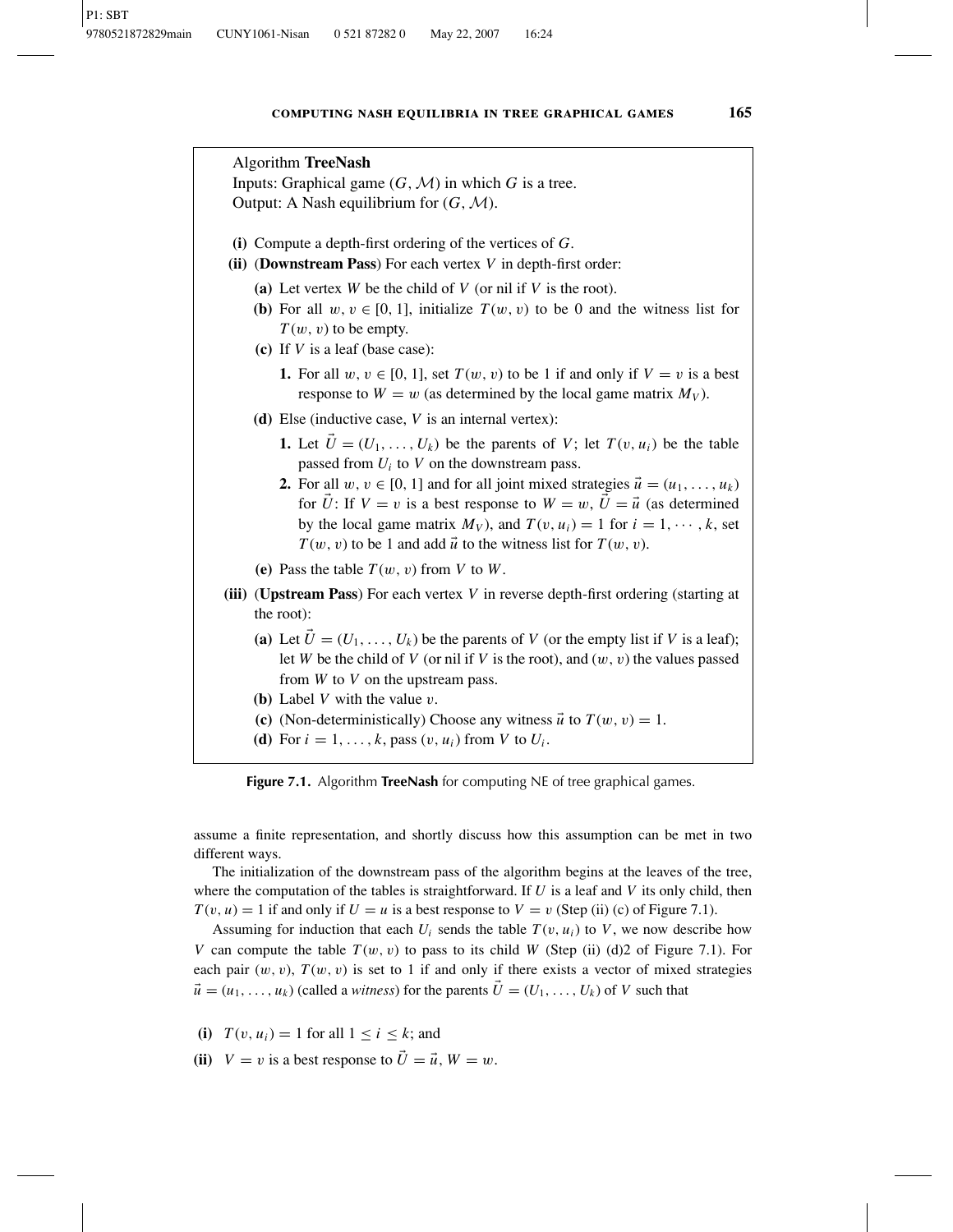**computing nash equilibria in tree graphical games 165**

Algorithm **TreeNash** Inputs: Graphical game  $(G, M)$  in which *G* is a tree. Output: A Nash equilibrium for  $(G, \mathcal{M})$ . **(i)** Compute a depth-first ordering of the vertices of *G*. **(ii)** (**Downstream Pass**) For each vertex *V* in depth-first order: **(a)** Let vertex *W* be the child of *V* (or nil if *V* is the root). **(b)** For all  $w, v \in [0, 1]$ , initialize  $T(w, v)$  to be 0 and the witness list for  $T(w, v)$  to be empty. **(c)** If *V* is a leaf (base case): **1.** For all  $w, v \in [0, 1]$ , set  $T(w, v)$  to be 1 if and only if  $V = v$  is a best response to  $W = w$  (as determined by the local game matrix  $M_V$ ). **(d)** Else (inductive case, *V* is an internal vertex): **1.** Let  $\vec{U} = (U_1, \ldots, U_k)$  be the parents of *V*; let  $T(v, u_i)$  be the table passed from *Ui* to *V* on the downstream pass. **2.** For all  $w, v \in [0, 1]$  and for all joint mixed strategies  $\vec{u} = (u_1, \dots, u_k)$ for  $\vec{U}$ : If  $V = v$  is a best response to  $W = w$ ,  $\vec{U} = \vec{u}$  (as determined by the local game matrix  $M_V$ ), and  $T(v, u_i) = 1$  for  $i = 1, \dots, k$ , set  $T(w, v)$  to be 1 and add  $\vec{u}$  to the witness list for  $T(w, v)$ . (e) Pass the table  $T(w, v)$  from *V* to *W*. **(iii)** (**Upstream Pass**) For each vertex *V* in reverse depth-first ordering (starting at the root): (a) Let  $\vec{U} = (U_1, \ldots, U_k)$  be the parents of *V* (or the empty list if *V* is a leaf); let *W* be the child of *V* (or nil if *V* is the root), and (*w, v*) the values passed from *W* to *V* on the upstream pass. **(b)** Label *V* with the value *v*. (c) (Non-deterministically) Choose any witness  $\vec{u}$  to  $T(w, v) = 1$ .

(d) For  $i = 1, \ldots, k$ , pass  $(v, u_i)$  from *V* to  $U_i$ .

**Figure 7.1.** Algorithm **TreeNash** for computing NE of tree graphical games.

assume a finite representation, and shortly discuss how this assumption can be met in two different ways.

The initialization of the downstream pass of the algorithm begins at the leaves of the tree, where the computation of the tables is straightforward. If *U* is a leaf and *V* its only child, then  $T(v, u) = 1$  if and only if  $U = u$  is a best response to  $V = v$  (Step (ii) (c) of Figure 7.1).

Assuming for induction that each  $U_i$  sends the table  $T(v, u_i)$  to  $V$ , we now describe how *V* can compute the table  $T(w, v)$  to pass to its child *W* (Step (ii) (d)2 of Figure 7.1). For each pair  $(w, v)$ ,  $T(w, v)$  is set to 1 if and only if there exists a vector of mixed strategies  $\vec{u} = (u_1, \ldots, u_k)$  (called a *witness*) for the parents  $\vec{U} = (U_1, \ldots, U_k)$  of *V* such that

- **(i)**  $T(v, u_i) = 1$  for all  $1 \le i \le k$ ; and
- (ii)  $V = v$  is a best response to  $\vec{U} = \vec{u}$ ,  $W = w$ .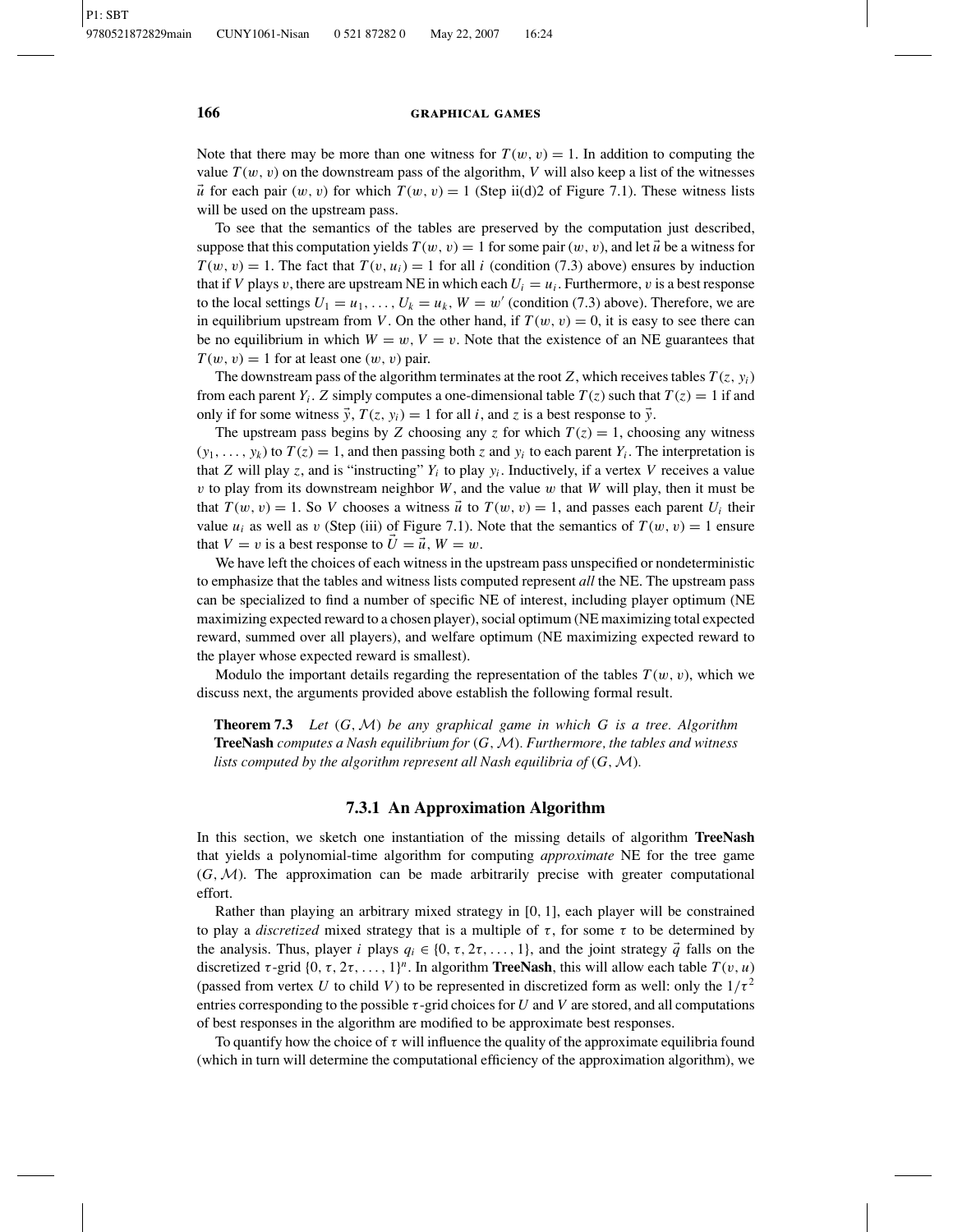Note that there may be more than one witness for  $T(w, v) = 1$ . In addition to computing the value  $T(w, v)$  on the downstream pass of the algorithm, *V* will also keep a list of the witnesses  $\vec{u}$  for each pair  $(w, v)$  for which  $T(w, v) = 1$  (Step ii(d)2 of Figure 7.1). These witness lists will be used on the upstream pass.

To see that the semantics of the tables are preserved by the computation just described, suppose that this computation yields  $T(w, v) = 1$  for some pair  $(w, v)$ , and let  $\vec{u}$  be a witness for  $T(w, v) = 1$ . The fact that  $T(v, u_i) = 1$  for all *i* (condition (7.3) above) ensures by induction that if *V* plays *v*, there are upstream NE in which each  $U_i = u_i$ . Furthermore, *v* is a best response to the local settings  $U_1 = u_1, \ldots, U_k = u_k, W = w'$  (condition (7.3) above). Therefore, we are in equilibrium upstream from *V*. On the other hand, if  $T(w, v) = 0$ , it is easy to see there can be no equilibrium in which  $W = w$ ,  $V = v$ . Note that the existence of an NE guarantees that  $T(w, v) = 1$  for at least one  $(w, v)$  pair.

The downstream pass of the algorithm terminates at the root  $Z$ , which receives tables  $T(z, y_i)$ from each parent *Y<sub>i</sub>*. *Z* simply computes a one-dimensional table  $T(z)$  such that  $T(z) = 1$  if and only if for some witness  $\vec{y}$ ,  $T(z, y_i) = 1$  for all *i*, and *z* is a best response to  $\vec{y}$ .

The upstream pass begins by *Z* choosing any *z* for which  $T(z) = 1$ , choosing any witness  $(y_1, \ldots, y_k)$  to  $T(z) = 1$ , and then passing both *z* and  $y_i$  to each parent  $Y_i$ . The interpretation is that *Z* will play *z*, and is "instructing"  $Y_i$  to play  $y_i$ . Inductively, if a vertex *V* receives a value *v* to play from its downstream neighbor *W*, and the value *w* that *W* will play, then it must be that  $T(w, v) = 1$ . So *V* chooses a witness  $\vec{u}$  to  $T(w, v) = 1$ , and passes each parent  $U_i$  their value  $u_i$  as well as *v* (Step (iii) of Figure 7.1). Note that the semantics of  $T(w, v) = 1$  ensure that  $V = v$  is a best response to  $\vec{U} = \vec{u}$ ,  $W = w$ .

We have left the choices of each witness in the upstream pass unspecified or nondeterministic to emphasize that the tables and witness lists computed represent *all* the NE. The upstream pass can be specialized to find a number of specific NE of interest, including player optimum (NE maximizing expected reward to a chosen player), social optimum (NE maximizing total expected reward, summed over all players), and welfare optimum (NE maximizing expected reward to the player whose expected reward is smallest).

Modulo the important details regarding the representation of the tables  $T(w, v)$ , which we discuss next, the arguments provided above establish the following formal result.

**Theorem 7.3** *Let* (*G,*M) *be any graphical game in which G is a tree. Algorithm* **TreeNash** *computes a Nash equilibrium for* (*G,*M)*. Furthermore, the tables and witness lists computed by the algorithm represent all Nash equilibria of* (*G,*M)*.*

### **7.3.1 An Approximation Algorithm**

In this section, we sketch one instantiation of the missing details of algorithm **TreeNash** that yields a polynomial-time algorithm for computing *approximate* NE for the tree game  $(G, M)$ . The approximation can be made arbitrarily precise with greater computational effort.

Rather than playing an arbitrary mixed strategy in [0*,* 1], each player will be constrained to play a *discretized* mixed strategy that is a multiple of  $τ$ , for some  $τ$  to be determined by the analysis. Thus, player *i* plays  $q_i \in \{0, \tau, 2\tau, \ldots, 1\}$ , and the joint strategy  $\vec{q}$  falls on the discretized  $\tau$ -grid  $\{0, \tau, 2\tau, \ldots, 1\}^n$ . In algorithm **TreeNash**, this will allow each table  $T(v, u)$ (passed from vertex *U* to child *V*) to be represented in discretized form as well: only the  $1/\tau^2$ entries corresponding to the possible  $\tau$ -grid choices for *U* and *V* are stored, and all computations of best responses in the algorithm are modified to be approximate best responses.

To quantify how the choice of *τ* will influence the quality of the approximate equilibria found (which in turn will determine the computational efficiency of the approximation algorithm), we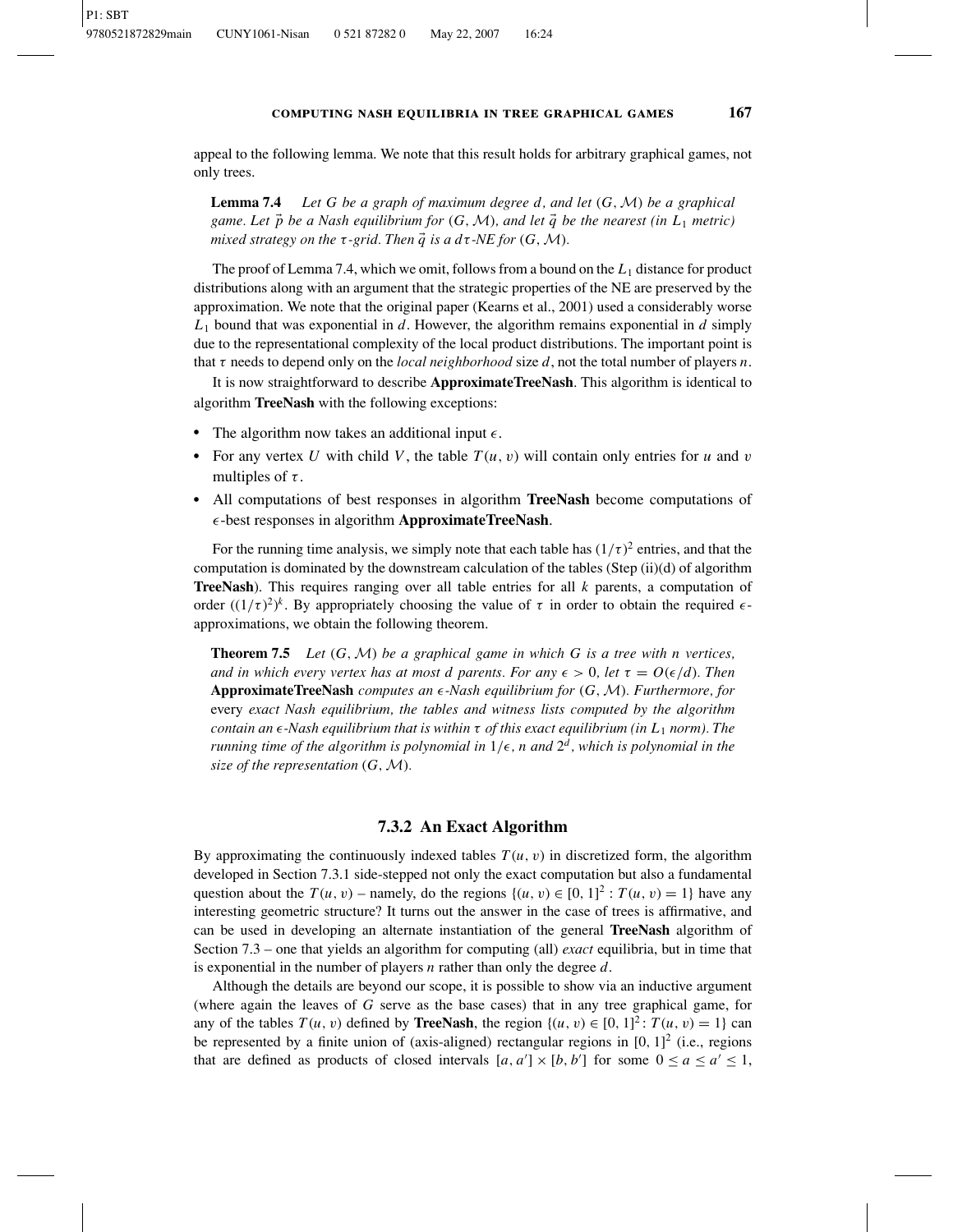### **computing nash equilibria in tree graphical games 167**

appeal to the following lemma. We note that this result holds for arbitrary graphical games, not only trees.

**Lemma 7.4** *Let G be a graph of maximum degree d, and let* (*G,*M) *be a graphical game. Let p*- *be a Nash equilibrium for* (*G,*M)*, and let q*- *be the nearest (in L*<sup>1</sup> *metric) mixed strategy on the τ -grid. Then q*- *is a dτ -NE for* (*G,*M)*.*

The proof of Lemma 7.4, which we omit, follows from a bound on the  $L_1$  distance for product distributions along with an argument that the strategic properties of the NE are preserved by the approximation. We note that the original paper (Kearns et al., 2001) used a considerably worse *L*<sup>1</sup> bound that was exponential in *d*. However, the algorithm remains exponential in *d* simply due to the representational complexity of the local product distributions. The important point is that *τ* needs to depend only on the *local neighborhood* size *d*, not the total number of players *n*.

It is now straightforward to describe **ApproximateTreeNash**. This algorithm is identical to algorithm **TreeNash** with the following exceptions:

- The algorithm now takes an additional input  $\epsilon$ .
- For any vertex *U* with child *V*, the table  $T(u, v)$  will contain only entries for *u* and *v* multiples of *τ* .
- All computations of best responses in algorithm **TreeNash** become computations of -best responses in algorithm **ApproximateTreeNash**.

For the running time analysis, we simply note that each table has  $(1/\tau)^2$  entries, and that the computation is dominated by the downstream calculation of the tables (Step (ii)(d) of algorithm **TreeNash**). This requires ranging over all table entries for all *k* parents, a computation of order  $((1/\tau)^2)^k$ . By appropriately choosing the value of  $\tau$  in order to obtain the required  $\epsilon$ approximations, we obtain the following theorem.

**Theorem 7.5** *Let* (*G,*M) *be a graphical game in which G is a tree with n vertices, and in which every vertex has at most d parents. For any*  $\epsilon > 0$ , let  $\tau = O(\epsilon/d)$ . Then **ApproximateTreeNash** *computes an*  $\epsilon$ -Nash *equilibrium for*  $(G, M)$ *. Furthermore, for* every *exact Nash equilibrium, the tables and witness lists computed by the algorithm contain an -Nash equilibrium that is within τ of this exact equilibrium (in L*<sup>1</sup> *norm). The running time of the algorithm is polynomial in*  $1/\epsilon$ , *n* and  $2^d$ , which is polynomial in the *size of the representation*  $(G, M)$ *.* 

#### **7.3.2 An Exact Algorithm**

By approximating the continuously indexed tables  $T(u, v)$  in discretized form, the algorithm developed in Section 7.3.1 side-stepped not only the exact computation but also a fundamental question about the  $T(u, v)$  – namely, do the regions  $\{(u, v) \in [0, 1]^2 : T(u, v) = 1\}$  have any interesting geometric structure? It turns out the answer in the case of trees is affirmative, and can be used in developing an alternate instantiation of the general **TreeNash** algorithm of Section 7.3 – one that yields an algorithm for computing (all) *exact* equilibria, but in time that is exponential in the number of players *n* rather than only the degree *d*.

Although the details are beyond our scope, it is possible to show via an inductive argument (where again the leaves of *G* serve as the base cases) that in any tree graphical game, for any of the tables  $T(u, v)$  defined by **TreeNash**, the region  $\{(u, v) \in [0, 1]^2 : T(u, v) = 1\}$  can be represented by a finite union of (axis-aligned) rectangular regions in  $[0, 1]^2$  (i.e., regions that are defined as products of closed intervals  $[a, a'] \times [b, b']$  for some  $0 \le a \le a' \le 1$ ,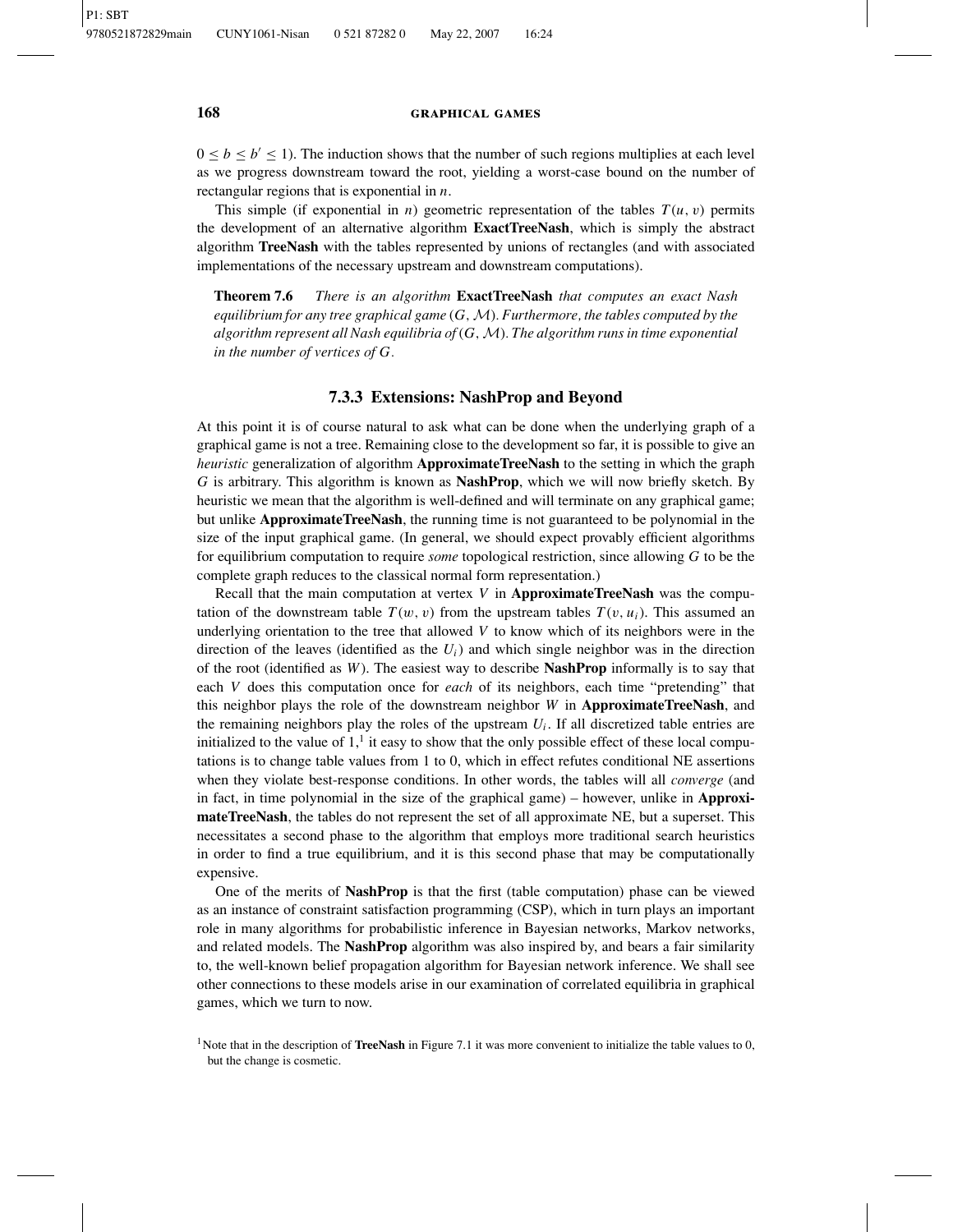$0 \le b \le b' \le 1$ ). The induction shows that the number of such regions multiplies at each level as we progress downstream toward the root, yielding a worst-case bound on the number of rectangular regions that is exponential in *n*.

This simple (if exponential in *n*) geometric representation of the tables  $T(u, v)$  permits the development of an alternative algorithm **ExactTreeNash**, which is simply the abstract algorithm **TreeNash** with the tables represented by unions of rectangles (and with associated implementations of the necessary upstream and downstream computations).

**Theorem 7.6** *There is an algorithm* **ExactTreeNash** *that computes an exact Nash equilibrium for any tree graphical game* (*G,*M)*. Furthermore, the tables computed by the algorithm represent all Nash equilibria of* (*G,*M)*. The algorithm runs in time exponential in the number of vertices of G.*

#### **7.3.3 Extensions: NashProp and Beyond**

At this point it is of course natural to ask what can be done when the underlying graph of a graphical game is not a tree. Remaining close to the development so far, it is possible to give an *heuristic* generalization of algorithm **ApproximateTreeNash** to the setting in which the graph *G* is arbitrary. This algorithm is known as **NashProp**, which we will now briefly sketch. By heuristic we mean that the algorithm is well-defined and will terminate on any graphical game; but unlike **ApproximateTreeNash**, the running time is not guaranteed to be polynomial in the size of the input graphical game. (In general, we should expect provably efficient algorithms for equilibrium computation to require *some* topological restriction, since allowing *G* to be the complete graph reduces to the classical normal form representation.)

Recall that the main computation at vertex *V* in **ApproximateTreeNash** was the computation of the downstream table  $T(w, v)$  from the upstream tables  $T(v, u_i)$ . This assumed an underlying orientation to the tree that allowed *V* to know which of its neighbors were in the direction of the leaves (identified as the  $U_i$ ) and which single neighbor was in the direction of the root (identified as *W*). The easiest way to describe **NashProp** informally is to say that each *V* does this computation once for *each* of its neighbors, each time "pretending" that this neighbor plays the role of the downstream neighbor *W* in **ApproximateTreeNash**, and the remaining neighbors play the roles of the upstream  $U_i$ . If all discretized table entries are initialized to the value of  $1<sup>1</sup>$  it easy to show that the only possible effect of these local computations is to change table values from 1 to 0, which in effect refutes conditional NE assertions when they violate best-response conditions. In other words, the tables will all *converge* (and in fact, in time polynomial in the size of the graphical game) – however, unlike in **ApproximateTreeNash**, the tables do not represent the set of all approximate NE, but a superset. This necessitates a second phase to the algorithm that employs more traditional search heuristics in order to find a true equilibrium, and it is this second phase that may be computationally expensive.

One of the merits of **NashProp** is that the first (table computation) phase can be viewed as an instance of constraint satisfaction programming (CSP), which in turn plays an important role in many algorithms for probabilistic inference in Bayesian networks, Markov networks, and related models. The **NashProp** algorithm was also inspired by, and bears a fair similarity to, the well-known belief propagation algorithm for Bayesian network inference. We shall see other connections to these models arise in our examination of correlated equilibria in graphical games, which we turn to now.

<sup>&</sup>lt;sup>1</sup>Note that in the description of **TreeNash** in Figure 7.1 it was more convenient to initialize the table values to 0, but the change is cosmetic.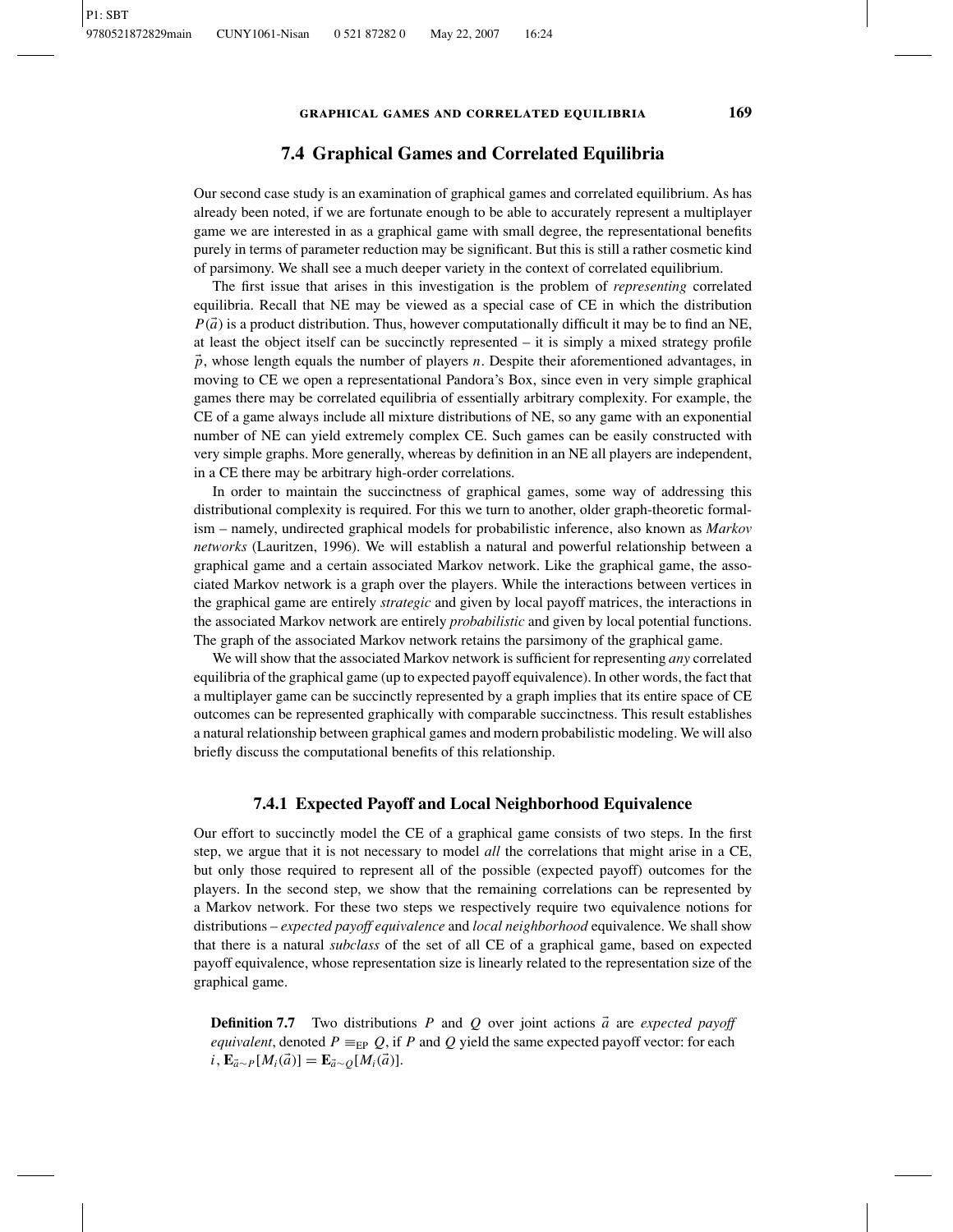# **graphical games and correlated equilibria 169**

# **7.4 Graphical Games and Correlated Equilibria**

Our second case study is an examination of graphical games and correlated equilibrium. As has already been noted, if we are fortunate enough to be able to accurately represent a multiplayer game we are interested in as a graphical game with small degree, the representational benefits purely in terms of parameter reduction may be significant. But this is still a rather cosmetic kind of parsimony. We shall see a much deeper variety in the context of correlated equilibrium.

The first issue that arises in this investigation is the problem of *representing* correlated equilibria. Recall that NE may be viewed as a special case of CE in which the distribution  $P(\vec{a})$  is a product distribution. Thus, however computationally difficult it may be to find an NE, at least the object itself can be succinctly represented – it is simply a mixed strategy profile  $\vec{p}$ , whose length equals the number of players *n*. Despite their aforementioned advantages, in moving to CE we open a representational Pandora's Box, since even in very simple graphical games there may be correlated equilibria of essentially arbitrary complexity. For example, the CE of a game always include all mixture distributions of NE, so any game with an exponential number of NE can yield extremely complex CE. Such games can be easily constructed with very simple graphs. More generally, whereas by definition in an NE all players are independent, in a CE there may be arbitrary high-order correlations.

In order to maintain the succinctness of graphical games, some way of addressing this distributional complexity is required. For this we turn to another, older graph-theoretic formalism – namely, undirected graphical models for probabilistic inference, also known as *Markov networks* (Lauritzen, 1996). We will establish a natural and powerful relationship between a graphical game and a certain associated Markov network. Like the graphical game, the associated Markov network is a graph over the players. While the interactions between vertices in the graphical game are entirely *strategic* and given by local payoff matrices, the interactions in the associated Markov network are entirely *probabilistic* and given by local potential functions. The graph of the associated Markov network retains the parsimony of the graphical game.

We will show that the associated Markov network is sufficient for representing *any* correlated equilibria of the graphical game (up to expected payoff equivalence). In other words, the fact that a multiplayer game can be succinctly represented by a graph implies that its entire space of CE outcomes can be represented graphically with comparable succinctness. This result establishes a natural relationship between graphical games and modern probabilistic modeling. We will also briefly discuss the computational benefits of this relationship.

#### **7.4.1 Expected Payoff and Local Neighborhood Equivalence**

Our effort to succinctly model the CE of a graphical game consists of two steps. In the first step, we argue that it is not necessary to model *all* the correlations that might arise in a CE, but only those required to represent all of the possible (expected payoff) outcomes for the players. In the second step, we show that the remaining correlations can be represented by a Markov network. For these two steps we respectively require two equivalence notions for distributions – *expected payoff equivalence* and *local neighborhood* equivalence. We shall show that there is a natural *subclass* of the set of all CE of a graphical game, based on expected payoff equivalence, whose representation size is linearly related to the representation size of the graphical game.

**Definition 7.7** Two distributions  $P$  and  $Q$  over joint actions  $\vec{a}$  are *expected payoff equivalent*, denoted  $P \equiv_{EP} Q$ , if *P* and *Q* yield the same expected payoff vector: for each  $i, \mathbf{E}_{\vec{a} \sim P} [M_i(\vec{a})] = \mathbf{E}_{\vec{a} \sim Q} [M_i(\vec{a})].$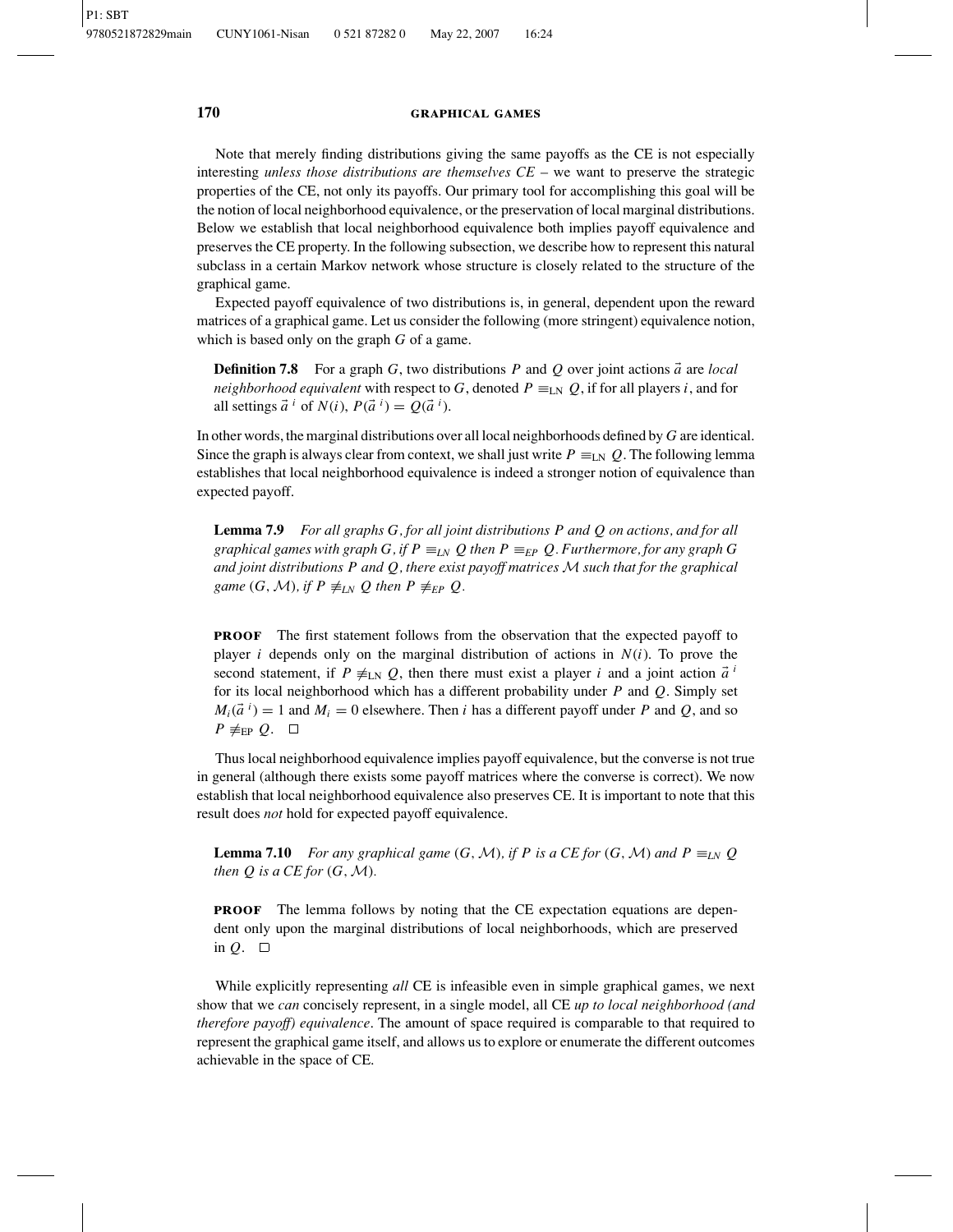Note that merely finding distributions giving the same payoffs as the CE is not especially interesting *unless those distributions are themselves CE* – we want to preserve the strategic properties of the CE, not only its payoffs. Our primary tool for accomplishing this goal will be the notion of local neighborhood equivalence, or the preservation of local marginal distributions. Below we establish that local neighborhood equivalence both implies payoff equivalence and preserves the CE property. In the following subsection, we describe how to represent this natural subclass in a certain Markov network whose structure is closely related to the structure of the graphical game.

Expected payoff equivalence of two distributions is, in general, dependent upon the reward matrices of a graphical game. Let us consider the following (more stringent) equivalence notion, which is based only on the graph *G* of a game.

**Definition 7.8** For a graph *G*, two distributions *P* and *Q* over joint actions  $\vec{a}$  are *local neighborhood equivalent* with respect to *G*, denoted  $P \equiv_{LN} Q$ , if for all players *i*, and for all settings  $\vec{a}^{i}$  of  $N(i)$ ,  $P(\vec{a}^{i}) = Q(\vec{a}^{i})$ .

In other words, the marginal distributions over all local neighborhoods defined by *G* are identical. Since the graph is always clear from context, we shall just write  $P \equiv_{LN} Q$ . The following lemma establishes that local neighborhood equivalence is indeed a stronger notion of equivalence than expected payoff.

**Lemma 7.9** *For all graphs G, for all joint distributions P and Q on actions, and for all graphical games with graph G, if*  $P \equiv_{LN} Q$  *then*  $P \equiv_{FP} Q$ *. Furthermore, for any graph G and joint distributions P and Q, there exist payoff matrices* M *such that for the graphical game*  $(G, M)$ *, if*  $P \not\equiv_{LN} Q$  *then*  $P \not\equiv_{EP} Q$ *.* 

**PROOF** The first statement follows from the observation that the expected payoff to player *i* depends only on the marginal distribution of actions in  $N(i)$ . To prove the second statement, if  $P \neq_{LN} Q$ , then there must exist a player *i* and a joint action  $\vec{a}$  *i* for its local neighborhood which has a different probability under *P* and *Q*. Simply set  $M_i(\vec{a}^i) = 1$  and  $M_i = 0$  elsewhere. Then *i* has a different payoff under *P* and *Q*, and so  $P \neq_{EP} Q$ . □

Thus local neighborhood equivalence implies payoff equivalence, but the converse is not true in general (although there exists some payoff matrices where the converse is correct). We now establish that local neighborhood equivalence also preserves CE. It is important to note that this result does *not* hold for expected payoff equivalence.

**Lemma 7.10** *For any graphical game* (*G, M*)*, if P is a CE for* (*G, M*) *and*  $P \equiv_{LN} Q$ *then*  $Q$  *is a*  $CE$  *for*  $(G, M)$ *.* 

**PROOF** The lemma follows by noting that the CE expectation equations are dependent only upon the marginal distributions of local neighborhoods, which are preserved in  $Q$ .  $\square$ 

While explicitly representing *all* CE is infeasible even in simple graphical games, we next show that we *can* concisely represent, in a single model, all CE *up to local neighborhood (and therefore payoff) equivalence*. The amount of space required is comparable to that required to represent the graphical game itself, and allows us to explore or enumerate the different outcomes achievable in the space of CE.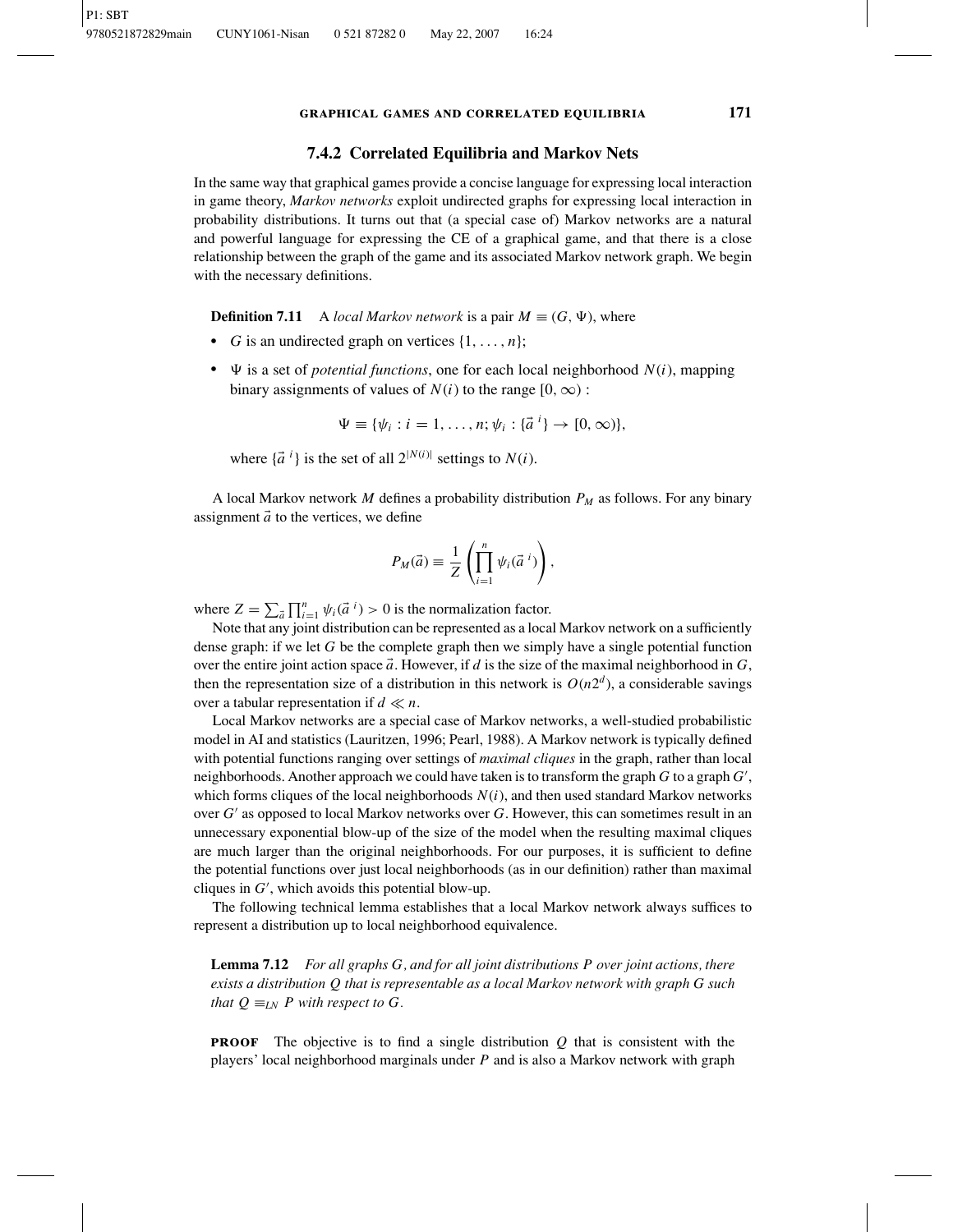### **graphical games and correlated equilibria 171**

# **7.4.2 Correlated Equilibria and Markov Nets**

In the same way that graphical games provide a concise language for expressing local interaction in game theory, *Markov networks* exploit undirected graphs for expressing local interaction in probability distributions. It turns out that (a special case of) Markov networks are a natural and powerful language for expressing the CE of a graphical game, and that there is a close relationship between the graph of the game and its associated Markov network graph. We begin with the necessary definitions.

**Definition 7.11** A *local Markov network* is a pair  $M \equiv (G, \Psi)$ , where

- *G* is an undirected graph on vertices  $\{1, \ldots, n\}$ ;
- $\bullet$   $\Psi$  is a set of *potential functions*, one for each local neighborhood  $N(i)$ , mapping binary assignments of values of  $N(i)$  to the range  $[0, \infty)$ :

$$
\Psi \equiv \{ \psi_i : i = 1, \dots, n; \psi_i : \{\vec{a}^i\} \to [0, \infty) \},
$$

where  $\{\vec{a}^i\}$  is the set of all  $2^{|N(i)|}$  settings to  $N(i)$ .

A local Markov network *M* defines a probability distribution *PM* as follows. For any binary assignment  $\vec{a}$  to the vertices, we define

$$
P_M(\vec{a}) \equiv \frac{1}{Z} \left( \prod_{i=1}^n \psi_i(\vec{a}^i) \right),
$$

where  $Z = \sum_{\vec{a}} \prod_{i=1}^{n} \psi_i(\vec{a}^i) > 0$  is the normalization factor.

Note that any joint distribution can be represented as a local Markov network on a sufficiently dense graph: if we let *G* be the complete graph then we simply have a single potential function over the entire joint action space  $\vec{a}$ . However, if *d* is the size of the maximal neighborhood in *G*, then the representation size of a distribution in this network is  $O(n2<sup>d</sup>)$ , a considerable savings over a tabular representation if  $d \ll n$ .

Local Markov networks are a special case of Markov networks, a well-studied probabilistic model in AI and statistics (Lauritzen, 1996; Pearl, 1988). A Markov network is typically defined with potential functions ranging over settings of *maximal cliques* in the graph, rather than local neighborhoods. Another approach we could have taken is to transform the graph *G* to a graph *G* , which forms cliques of the local neighborhoods  $N(i)$ , and then used standard Markov networks over *G'* as opposed to local Markov networks over *G*. However, this can sometimes result in an unnecessary exponential blow-up of the size of the model when the resulting maximal cliques are much larger than the original neighborhoods. For our purposes, it is sufficient to define the potential functions over just local neighborhoods (as in our definition) rather than maximal cliques in *G* , which avoids this potential blow-up.

The following technical lemma establishes that a local Markov network always suffices to represent a distribution up to local neighborhood equivalence.

**Lemma 7.12** *For all graphs G, and for all joint distributions P over joint actions, there exists a distribution Q that is representable as a local Markov network with graph G such that*  $Q \equiv_{LN} P$  *with respect to G.* 

**PROOF** The objective is to find a single distribution *Q* that is consistent with the players' local neighborhood marginals under *P* and is also a Markov network with graph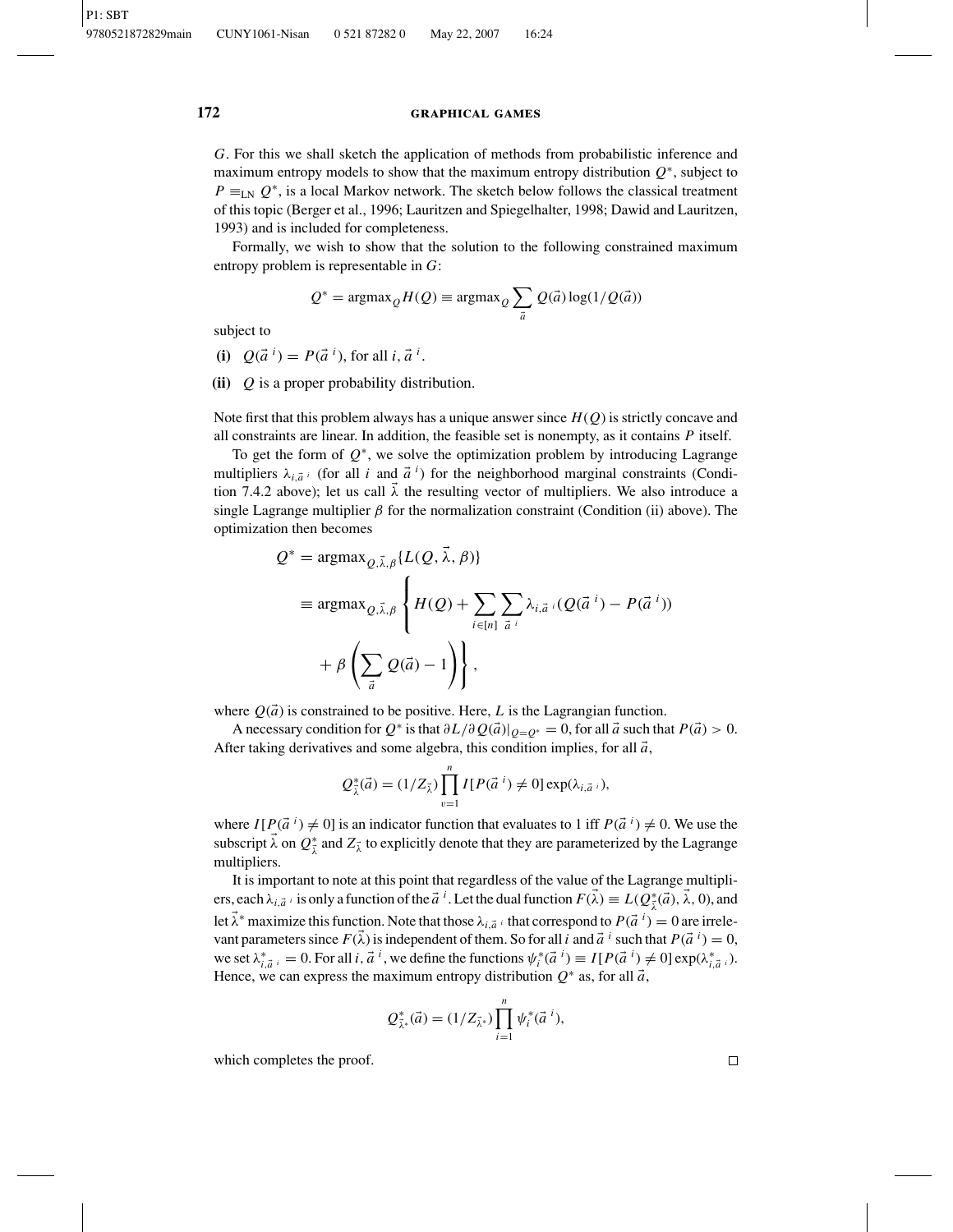*G*. For this we shall sketch the application of methods from probabilistic inference and maximum entropy models to show that the maximum entropy distribution  $Q^*$ , subject to *P* ≡<sub>LN</sub>  $Q^*$ , is a local Markov network. The sketch below follows the classical treatment of this topic (Berger et al., 1996; Lauritzen and Spiegelhalter, 1998; Dawid and Lauritzen, 1993) and is included for completeness.

Formally, we wish to show that the solution to the following constrained maximum entropy problem is representable in *G*:

$$
Q^* = \operatorname{argmax}_{Q} H(Q) \equiv \operatorname{argmax}_{Q} \sum_{\vec{a}} Q(\vec{a}) \log(1/Q(\vec{a}))
$$

subject to

- **(i)**  $Q(\vec{a}^i) = P(\vec{a}^i)$ , for all  $i, \vec{a}^i$ .
- **(ii)** *Q* is a proper probability distribution.

Note first that this problem always has a unique answer since  $H(Q)$  is strictly concave and all constraints are linear. In addition, the feasible set is nonempty, as it contains *P* itself.

To get the form of *Q*<sup>∗</sup>, we solve the optimization problem by introducing Lagrange multipliers  $\lambda_{i,\vec{a}}$  *i* (for all *i* and  $\vec{a}$  *i*) for the neighborhood marginal constraints (Condition 7.4.2 above); let us call  $\vec{\lambda}$  the resulting vector of multipliers. We also introduce a single Lagrange multiplier *β* for the normalization constraint (Condition (ii) above). The optimization then becomes

$$
Q^* = \operatorname{argmax}_{Q, \vec{\lambda}, \beta} \{L(Q, \vec{\lambda}, \beta)\}
$$
  

$$
\equiv \operatorname{argmax}_{Q, \vec{\lambda}, \beta} \left\{ H(Q) + \sum_{i \in [n]} \sum_{\vec{a}^i} \lambda_{i, \vec{a}^i} (Q(\vec{a}^i) - P(\vec{a}^i))
$$
  

$$
+ \beta \left( \sum_{\vec{a}} Q(\vec{a}) - 1 \right) \right\},
$$

where  $Q(\vec{a})$  is constrained to be positive. Here, *L* is the Lagrangian function.

A necessary condition for  $Q^*$  is that  $\partial L/\partial Q(\vec{a})|_{Q=Q^*}=0$ , for all  $\vec{a}$  such that  $P(\vec{a}) > 0$ . After taking derivatives and some algebra, this condition implies, for all  $\vec{a}$ ,

$$
Q_{\bar{\lambda}}^*(\vec{a}) = (1/Z_{\bar{\lambda}}) \prod_{v=1}^n I[P(\vec{a}^i) \neq 0] \exp(\lambda_{i,\vec{a}^i}),
$$

where  $I[P(\vec{a}^i) \neq 0]$  is an indicator function that evaluates to 1 iff  $P(\vec{a}^i) \neq 0$ . We use the subscript  $\vec{\lambda}$  on  $Q^*_{\vec{\lambda}}$  and  $Z^*_{\vec{\lambda}}$  to explicitly denote that they are parameterized by the Lagrange multipliers.

It is important to note at this point that regardless of the value of the Lagrange multipliers, each  $\lambda_{i,\vec{a}}$  *i* is only a function of the  $\vec{a}^{i}$ . Let the dual function  $F(\vec{\lambda}) \equiv L(Q_{\vec{\lambda}}^{*}(\vec{a}), \vec{\lambda}, 0)$ , and let  $\vec{\lambda}^*$  maximize this function. Note that those  $\lambda_{i, \vec{a}}$  *i* that correspond to  $P(\vec{a}^i) = 0$  are irrelevant parameters since  $F(\vec{\lambda})$  is independent of them. So for all *i* and  $\vec{a}^{-i}$  such that  $P(\vec{a}^{-i}) = 0$ , we set  $\lambda_{i,\vec{a}}^* = 0$ . For all  $i, \vec{a}^i$ , we define the functions  $\psi_i^*(\vec{a}^i) \equiv I[P(\vec{a}^i) \neq 0] \exp(\lambda_{i,\vec{a}}^*)$ . Hence, we can express the maximum entropy distribution  $Q^*$  as, for all  $\vec{a}$ ,

$$
Q_{\vec{\lambda}^*}^*(\vec{a}) = (1/Z_{\vec{\lambda}^*}) \prod_{i=1}^n \psi_i^*(\vec{a}^i),
$$

which completes the proof.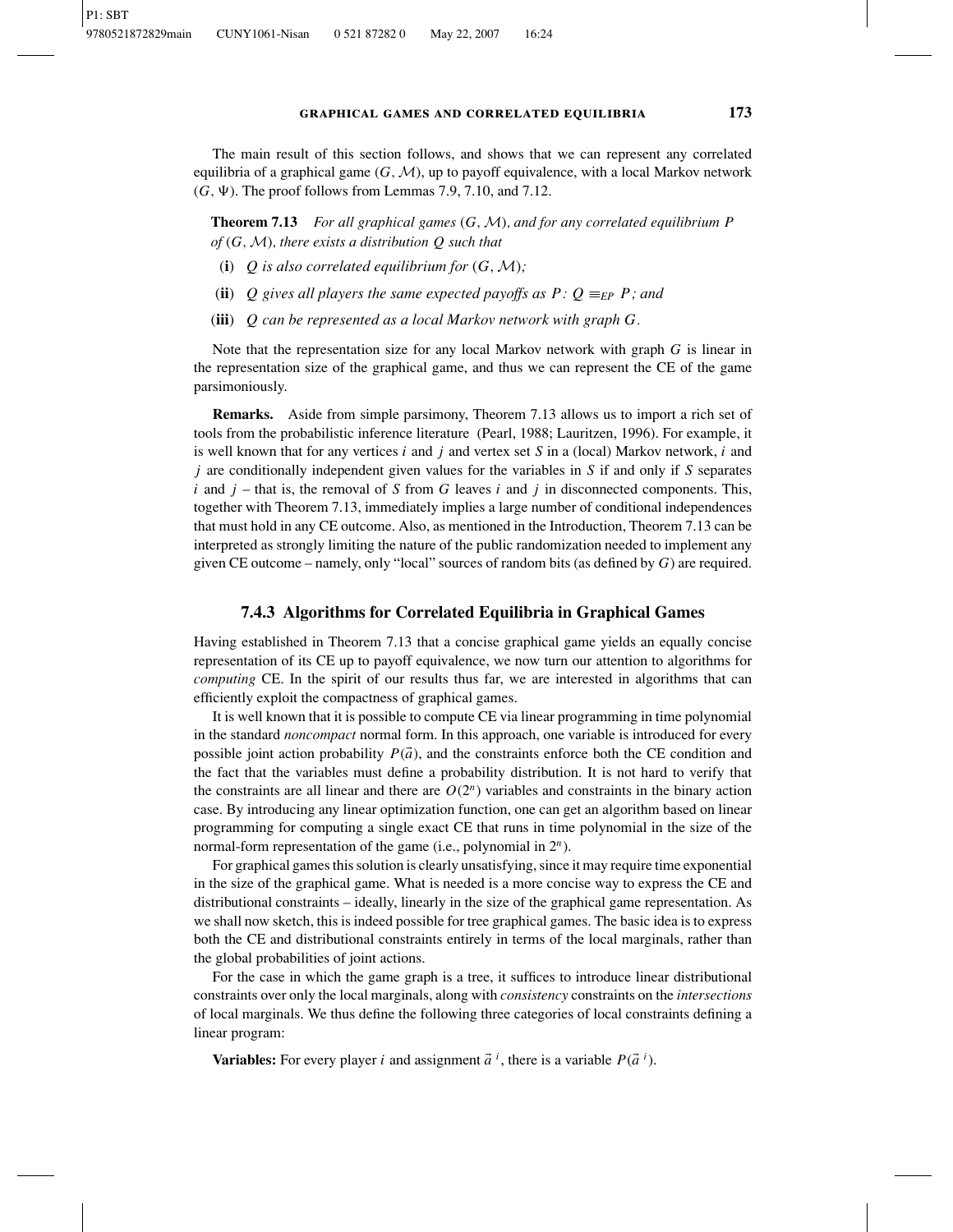### **graphical games and correlated equilibria 173**

The main result of this section follows, and shows that we can represent any correlated equilibria of a graphical game  $(G, M)$ , up to payoff equivalence, with a local Markov network  $(G, \Psi)$ . The proof follows from Lemmas 7.9, 7.10, and 7.12.

**Theorem 7.13** *For all graphical games* (*G,*M)*, and for any correlated equilibrium P of* (*G,*M)*, there exists a distribution Q such that*

- (**i**)  $Q$  *is also correlated equilibrium for*  $(G, M)$ *;*
- **(ii**)  $Q$  gives all players the same expected payoffs as  $P: Q \equiv_{EP} P$ ; and
- (**iii**) *Q can be represented as a local Markov network with graph G.*

Note that the representation size for any local Markov network with graph *G* is linear in the representation size of the graphical game, and thus we can represent the CE of the game parsimoniously.

**Remarks.** Aside from simple parsimony, Theorem 7.13 allows us to import a rich set of tools from the probabilistic inference literature (Pearl, 1988; Lauritzen, 1996). For example, it is well known that for any vertices *i* and *j* and vertex set *S* in a (local) Markov network, *i* and *j* are conditionally independent given values for the variables in *S* if and only if *S* separates *i* and *j* – that is, the removal of *S* from *G* leaves *i* and *j* in disconnected components. This, together with Theorem 7.13, immediately implies a large number of conditional independences that must hold in any CE outcome. Also, as mentioned in the Introduction, Theorem 7.13 can be interpreted as strongly limiting the nature of the public randomization needed to implement any given CE outcome – namely, only "local" sources of random bits (as defined by *G*) are required.

#### **7.4.3 Algorithms for Correlated Equilibria in Graphical Games**

Having established in Theorem 7.13 that a concise graphical game yields an equally concise representation of its CE up to payoff equivalence, we now turn our attention to algorithms for *computing* CE. In the spirit of our results thus far, we are interested in algorithms that can efficiently exploit the compactness of graphical games.

It is well known that it is possible to compute CE via linear programming in time polynomial in the standard *noncompact* normal form. In this approach, one variable is introduced for every possible joint action probability  $P(\vec{a})$ , and the constraints enforce both the CE condition and the fact that the variables must define a probability distribution. It is not hard to verify that the constraints are all linear and there are  $O(2^n)$  variables and constraints in the binary action case. By introducing any linear optimization function, one can get an algorithm based on linear programming for computing a single exact CE that runs in time polynomial in the size of the normal-form representation of the game (i.e., polynomial in 2*<sup>n</sup>*).

For graphical games this solution is clearly unsatisfying, since it may require time exponential in the size of the graphical game. What is needed is a more concise way to express the CE and distributional constraints – ideally, linearly in the size of the graphical game representation. As we shall now sketch, this is indeed possible for tree graphical games. The basic idea is to express both the CE and distributional constraints entirely in terms of the local marginals, rather than the global probabilities of joint actions.

For the case in which the game graph is a tree, it suffices to introduce linear distributional constraints over only the local marginals, along with *consistency* constraints on the *intersections* of local marginals. We thus define the following three categories of local constraints defining a linear program:

**Variables:** For every player *i* and assignment  $\vec{a}$  <sup>*i*</sup>, there is a variable  $P(\vec{a}^i)$ .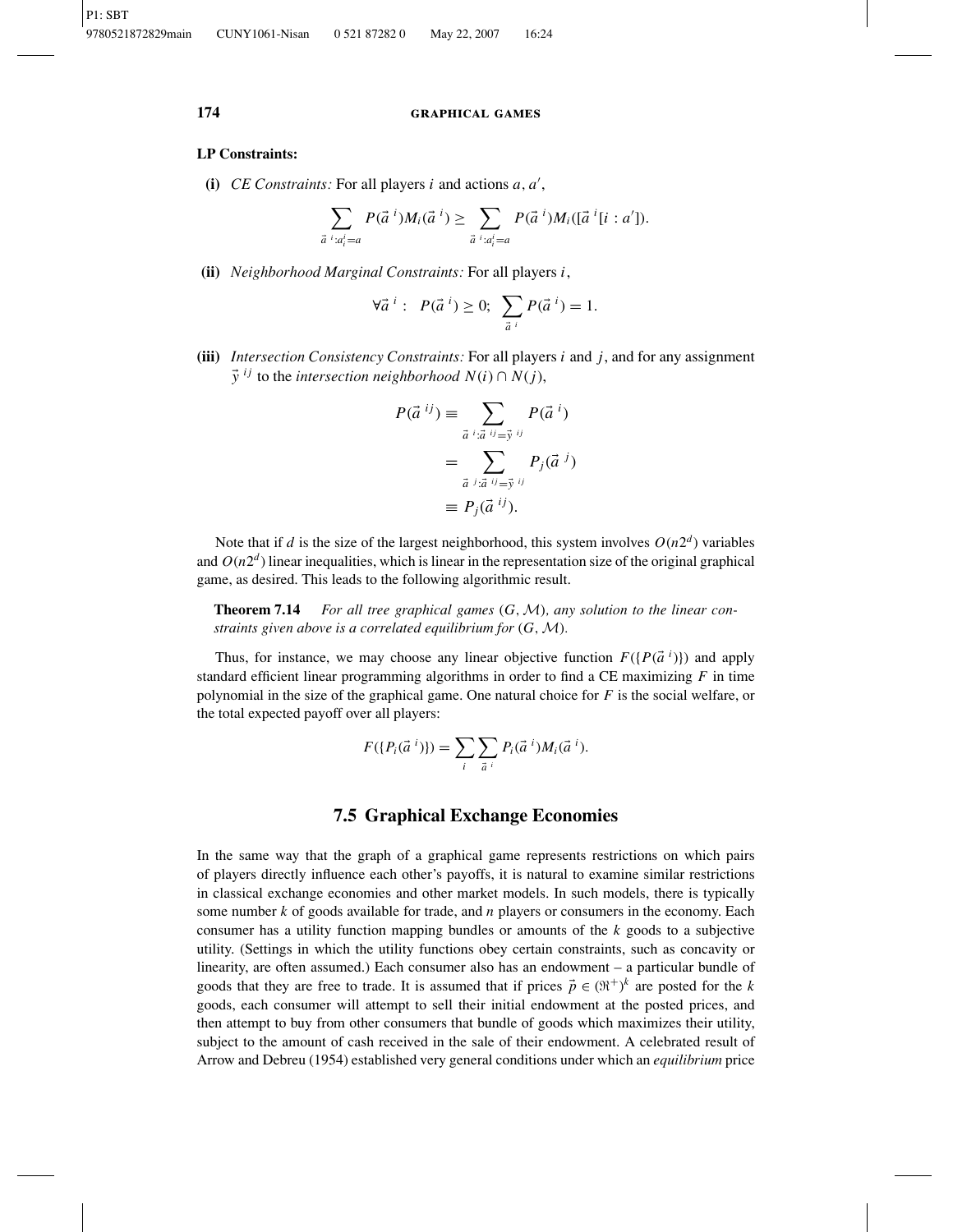#### **LP Constraints:**

(i)  $CE$  Constraints: For all players  $i$  and actions  $a, a'$ ,

$$
\sum_{\vec{a}^i:a_i^i=a} P(\vec{a}^i)M_i(\vec{a}^i) \geq \sum_{\vec{a}^i:a_i^i=a} P(\vec{a}^i)M_i([\vec{a}^i[i:a']).
$$

**(ii)** *Neighborhood Marginal Constraints:* For all players *i*,

$$
\forall \vec{a}^{i}: P(\vec{a}^{i}) \geq 0; \sum_{\vec{a}^{i}} P(\vec{a}^{i}) = 1.
$$

**(iii)** *Intersection Consistency Constraints:* For all players *i* and *j* , and for any assignment  $\vec{y}$ <sup>*ij*</sup> to the *intersection neighborhood*  $N(i) \cap N(j)$ ,

$$
P(\vec{a}^{ij}) \equiv \sum_{\vec{a}^{i}:\vec{a}^{ij}=\vec{y}^{ij}} P(\vec{a}^{i})
$$

$$
= \sum_{\vec{a}^{j}:\vec{a}^{ij}=\vec{y}^{ij}} P_{j}(\vec{a}^{j})
$$

$$
\equiv P_{j}(\vec{a}^{ij}).
$$

Note that if *d* is the size of the largest neighborhood, this system involves  $O(n2<sup>d</sup>)$  variables and  $O(n2<sup>d</sup>)$  linear inequalities, which is linear in the representation size of the original graphical game, as desired. This leads to the following algorithmic result.

**Theorem 7.14** *For all tree graphical games* (*G,*M)*, any solution to the linear constraints given above is a correlated equilibrium for* (*G,*M)*.*

Thus, for instance, we may choose any linear objective function  $F({P(\vec{a}^i)})$  and apply standard efficient linear programming algorithms in order to find a CE maximizing *F* in time polynomial in the size of the graphical game. One natural choice for *F* is the social welfare, or the total expected payoff over all players:

$$
F({Pi(\vec{a}^{i})}) = \sum_{i} \sum_{\vec{a}^{i}} P_{i}(\vec{a}^{i}) M_{i}(\vec{a}^{i}).
$$

# **7.5 Graphical Exchange Economies**

In the same way that the graph of a graphical game represents restrictions on which pairs of players directly influence each other's payoffs, it is natural to examine similar restrictions in classical exchange economies and other market models. In such models, there is typically some number *k* of goods available for trade, and *n* players or consumers in the economy. Each consumer has a utility function mapping bundles or amounts of the *k* goods to a subjective utility. (Settings in which the utility functions obey certain constraints, such as concavity or linearity, are often assumed.) Each consumer also has an endowment – a particular bundle of goods that they are free to trade. It is assumed that if prices  $\vec{p} \in (\Re^+)^k$  are posted for the *k* goods, each consumer will attempt to sell their initial endowment at the posted prices, and then attempt to buy from other consumers that bundle of goods which maximizes their utility, subject to the amount of cash received in the sale of their endowment. A celebrated result of Arrow and Debreu (1954) established very general conditions under which an *equilibrium* price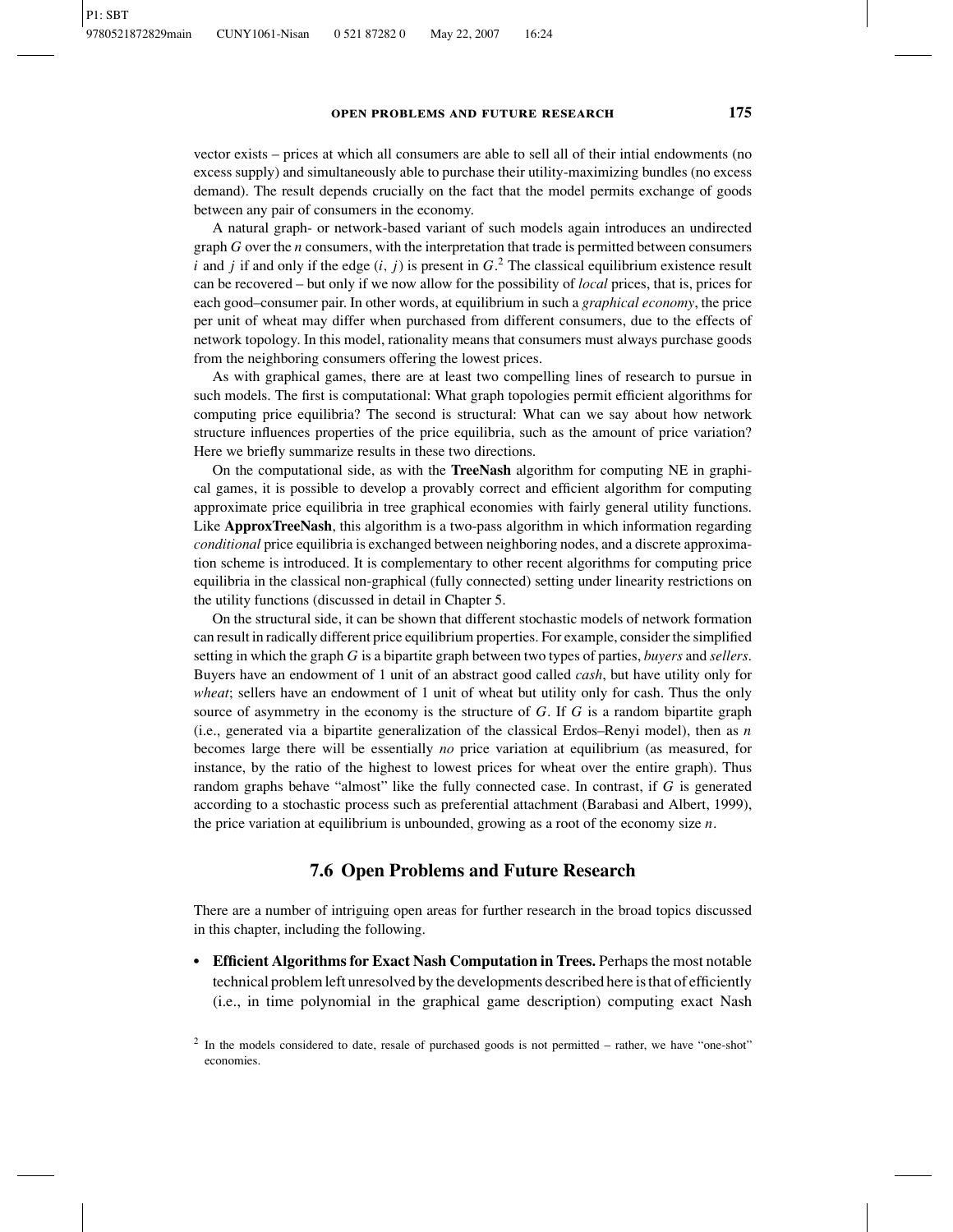vector exists – prices at which all consumers are able to sell all of their intial endowments (no excess supply) and simultaneously able to purchase their utility-maximizing bundles (no excess demand). The result depends crucially on the fact that the model permits exchange of goods between any pair of consumers in the economy.

A natural graph- or network-based variant of such models again introduces an undirected graph *G* over the *n* consumers, with the interpretation that trade is permitted between consumers *i* and *j* if and only if the edge  $(i, j)$  is present in  $G<sup>2</sup>$ . The classical equilibrium existence result can be recovered – but only if we now allow for the possibility of *local* prices, that is, prices for each good–consumer pair. In other words, at equilibrium in such a *graphical economy*, the price per unit of wheat may differ when purchased from different consumers, due to the effects of network topology. In this model, rationality means that consumers must always purchase goods from the neighboring consumers offering the lowest prices.

As with graphical games, there are at least two compelling lines of research to pursue in such models. The first is computational: What graph topologies permit efficient algorithms for computing price equilibria? The second is structural: What can we say about how network structure influences properties of the price equilibria, such as the amount of price variation? Here we briefly summarize results in these two directions.

On the computational side, as with the **TreeNash** algorithm for computing NE in graphical games, it is possible to develop a provably correct and efficient algorithm for computing approximate price equilibria in tree graphical economies with fairly general utility functions. Like **ApproxTreeNash**, this algorithm is a two-pass algorithm in which information regarding *conditional* price equilibria is exchanged between neighboring nodes, and a discrete approximation scheme is introduced. It is complementary to other recent algorithms for computing price equilibria in the classical non-graphical (fully connected) setting under linearity restrictions on the utility functions (discussed in detail in Chapter 5.

On the structural side, it can be shown that different stochastic models of network formation can result in radically different price equilibrium properties. For example, consider the simplified setting in which the graph *G* is a bipartite graph between two types of parties, *buyers* and *sellers*. Buyers have an endowment of 1 unit of an abstract good called *cash*, but have utility only for *wheat*; sellers have an endowment of 1 unit of wheat but utility only for cash. Thus the only source of asymmetry in the economy is the structure of *G*. If *G* is a random bipartite graph (i.e., generated via a bipartite generalization of the classical Erdos–Renyi model), then as *n* becomes large there will be essentially *no* price variation at equilibrium (as measured, for instance, by the ratio of the highest to lowest prices for wheat over the entire graph). Thus random graphs behave "almost" like the fully connected case. In contrast, if *G* is generated according to a stochastic process such as preferential attachment (Barabasi and Albert, 1999), the price variation at equilibrium is unbounded, growing as a root of the economy size *n*.

# **7.6 Open Problems and Future Research**

There are a number of intriguing open areas for further research in the broad topics discussed in this chapter, including the following.

 **Efficient Algorithms for Exact Nash Computation in Trees.** Perhaps the most notable technical problem left unresolved by the developments described here is that of efficiently (i.e., in time polynomial in the graphical game description) computing exact Nash

<sup>&</sup>lt;sup>2</sup> In the models considered to date, resale of purchased goods is not permitted – rather, we have "one-shot" economies.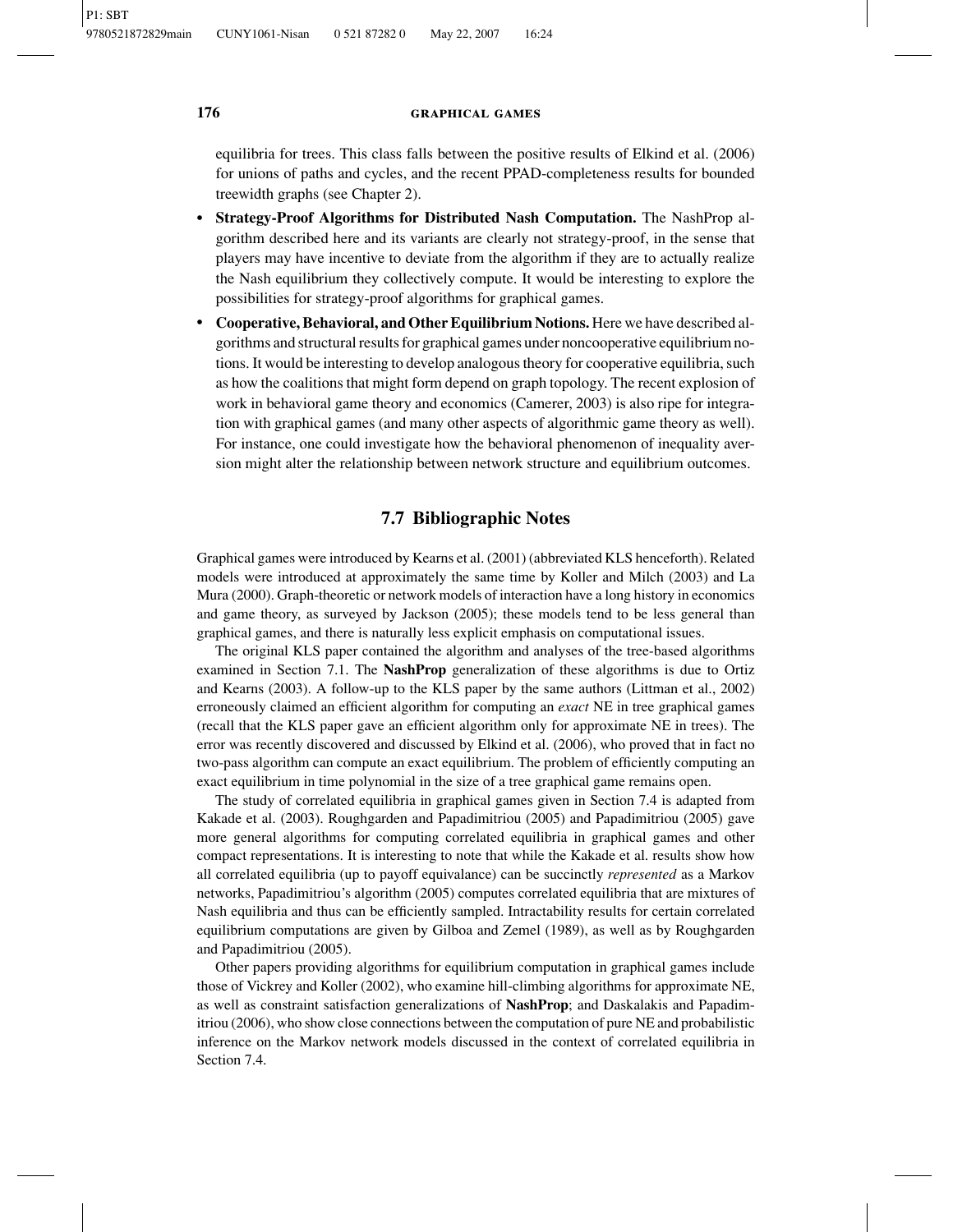equilibria for trees. This class falls between the positive results of Elkind et al. (2006) for unions of paths and cycles, and the recent PPAD-completeness results for bounded treewidth graphs (see Chapter 2).

- **Strategy-Proof Algorithms for Distributed Nash Computation.** The NashProp algorithm described here and its variants are clearly not strategy-proof, in the sense that players may have incentive to deviate from the algorithm if they are to actually realize the Nash equilibrium they collectively compute. It would be interesting to explore the possibilities for strategy-proof algorithms for graphical games.
- **Cooperative, Behavioral, and Other Equilibrium Notions.** Here we have described algorithms and structural results for graphical games under noncooperative equilibrium notions. It would be interesting to develop analogous theory for cooperative equilibria, such as how the coalitions that might form depend on graph topology. The recent explosion of work in behavioral game theory and economics (Camerer, 2003) is also ripe for integration with graphical games (and many other aspects of algorithmic game theory as well). For instance, one could investigate how the behavioral phenomenon of inequality aversion might alter the relationship between network structure and equilibrium outcomes.

# **7.7 Bibliographic Notes**

Graphical games were introduced by Kearns et al. (2001) (abbreviated KLS henceforth). Related models were introduced at approximately the same time by Koller and Milch (2003) and La Mura (2000). Graph-theoretic or network models of interaction have a long history in economics and game theory, as surveyed by Jackson (2005); these models tend to be less general than graphical games, and there is naturally less explicit emphasis on computational issues.

The original KLS paper contained the algorithm and analyses of the tree-based algorithms examined in Section 7.1. The **NashProp** generalization of these algorithms is due to Ortiz and Kearns (2003). A follow-up to the KLS paper by the same authors (Littman et al., 2002) erroneously claimed an efficient algorithm for computing an *exact* NE in tree graphical games (recall that the KLS paper gave an efficient algorithm only for approximate NE in trees). The error was recently discovered and discussed by Elkind et al. (2006), who proved that in fact no two-pass algorithm can compute an exact equilibrium. The problem of efficiently computing an exact equilibrium in time polynomial in the size of a tree graphical game remains open.

The study of correlated equilibria in graphical games given in Section 7.4 is adapted from Kakade et al. (2003). Roughgarden and Papadimitriou (2005) and Papadimitriou (2005) gave more general algorithms for computing correlated equilibria in graphical games and other compact representations. It is interesting to note that while the Kakade et al. results show how all correlated equilibria (up to payoff equivalance) can be succinctly *represented* as a Markov networks, Papadimitriou's algorithm (2005) computes correlated equilibria that are mixtures of Nash equilibria and thus can be efficiently sampled. Intractability results for certain correlated equilibrium computations are given by Gilboa and Zemel (1989), as well as by Roughgarden and Papadimitriou (2005).

Other papers providing algorithms for equilibrium computation in graphical games include those of Vickrey and Koller (2002), who examine hill-climbing algorithms for approximate NE, as well as constraint satisfaction generalizations of **NashProp**; and Daskalakis and Papadimitriou (2006), who show close connections between the computation of pure NE and probabilistic inference on the Markov network models discussed in the context of correlated equilibria in Section 7.4.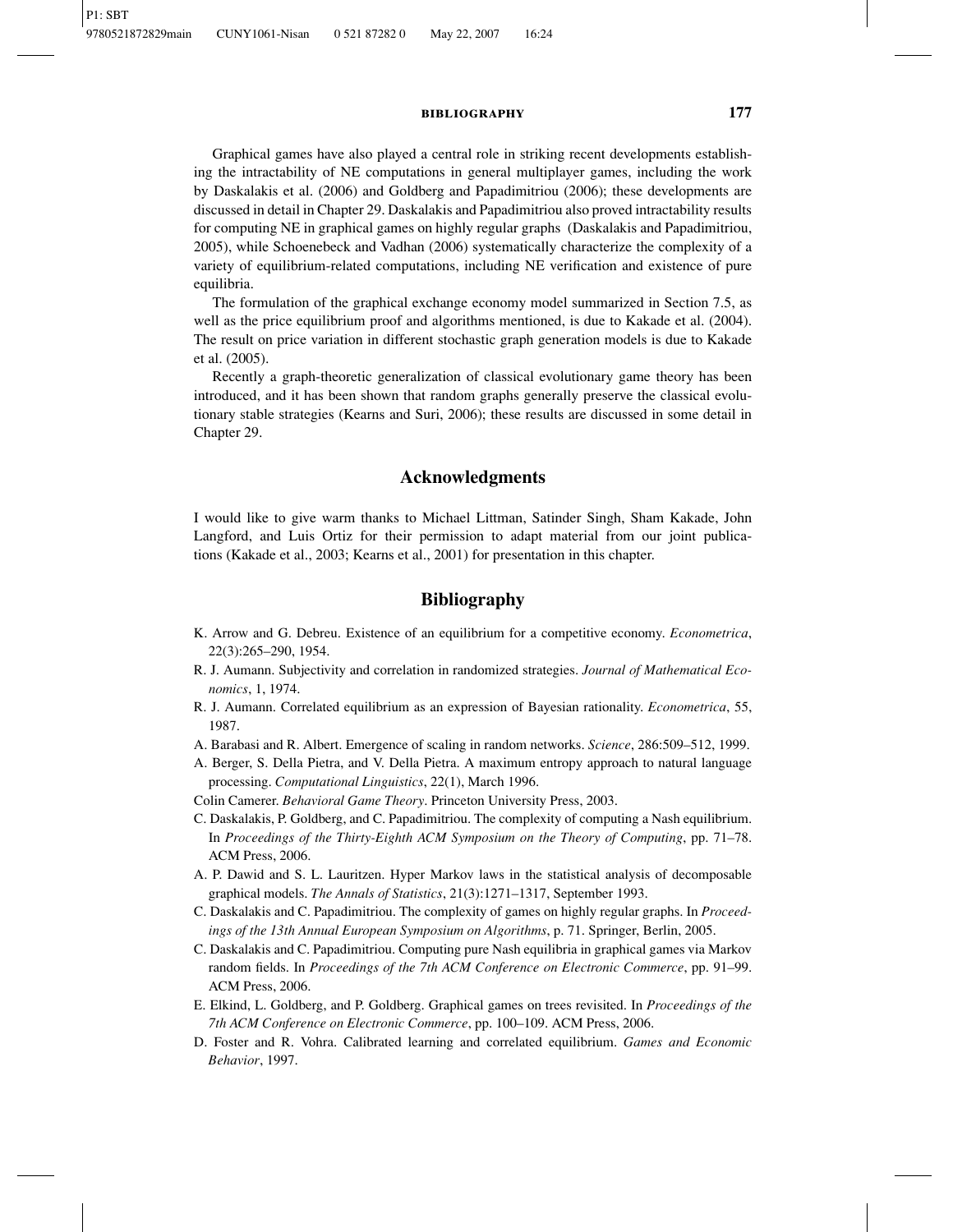### **bibliography 177**

Graphical games have also played a central role in striking recent developments establishing the intractability of NE computations in general multiplayer games, including the work by Daskalakis et al. (2006) and Goldberg and Papadimitriou (2006); these developments are discussed in detail in Chapter 29. Daskalakis and Papadimitriou also proved intractability results for computing NE in graphical games on highly regular graphs (Daskalakis and Papadimitriou, 2005), while Schoenebeck and Vadhan (2006) systematically characterize the complexity of a variety of equilibrium-related computations, including NE verification and existence of pure equilibria.

The formulation of the graphical exchange economy model summarized in Section 7.5, as well as the price equilibrium proof and algorithms mentioned, is due to Kakade et al. (2004). The result on price variation in different stochastic graph generation models is due to Kakade et al. (2005).

Recently a graph-theoretic generalization of classical evolutionary game theory has been introduced, and it has been shown that random graphs generally preserve the classical evolutionary stable strategies (Kearns and Suri, 2006); these results are discussed in some detail in Chapter 29.

# **Acknowledgments**

I would like to give warm thanks to Michael Littman, Satinder Singh, Sham Kakade, John Langford, and Luis Ortiz for their permission to adapt material from our joint publications (Kakade et al., 2003; Kearns et al., 2001) for presentation in this chapter.

# **Bibliography**

- K. Arrow and G. Debreu. Existence of an equilibrium for a competitive economy. *Econometrica*, 22(3):265–290, 1954.
- R. J. Aumann. Subjectivity and correlation in randomized strategies. *Journal of Mathematical Economics*, 1, 1974.
- R. J. Aumann. Correlated equilibrium as an expression of Bayesian rationality. *Econometrica*, 55, 1987.
- A. Barabasi and R. Albert. Emergence of scaling in random networks. *Science*, 286:509–512, 1999.
- A. Berger, S. Della Pietra, and V. Della Pietra. A maximum entropy approach to natural language processing. *Computational Linguistics*, 22(1), March 1996.
- Colin Camerer. *Behavioral Game Theory*. Princeton University Press, 2003.
- C. Daskalakis, P. Goldberg, and C. Papadimitriou. The complexity of computing a Nash equilibrium. In *Proceedings of the Thirty-Eighth ACM Symposium on the Theory of Computing*, pp. 71–78. ACM Press, 2006.
- A. P. Dawid and S. L. Lauritzen. Hyper Markov laws in the statistical analysis of decomposable graphical models. *The Annals of Statistics*, 21(3):1271–1317, September 1993.
- C. Daskalakis and C. Papadimitriou. The complexity of games on highly regular graphs. In *Proceedings of the 13th Annual European Symposium on Algorithms*, p. 71. Springer, Berlin, 2005.
- C. Daskalakis and C. Papadimitriou. Computing pure Nash equilibria in graphical games via Markov random fields. In *Proceedings of the 7th ACM Conference on Electronic Commerce*, pp. 91–99. ACM Press, 2006.
- E. Elkind, L. Goldberg, and P. Goldberg. Graphical games on trees revisited. In *Proceedings of the 7th ACM Conference on Electronic Commerce*, pp. 100–109. ACM Press, 2006.
- D. Foster and R. Vohra. Calibrated learning and correlated equilibrium. *Games and Economic Behavior*, 1997.